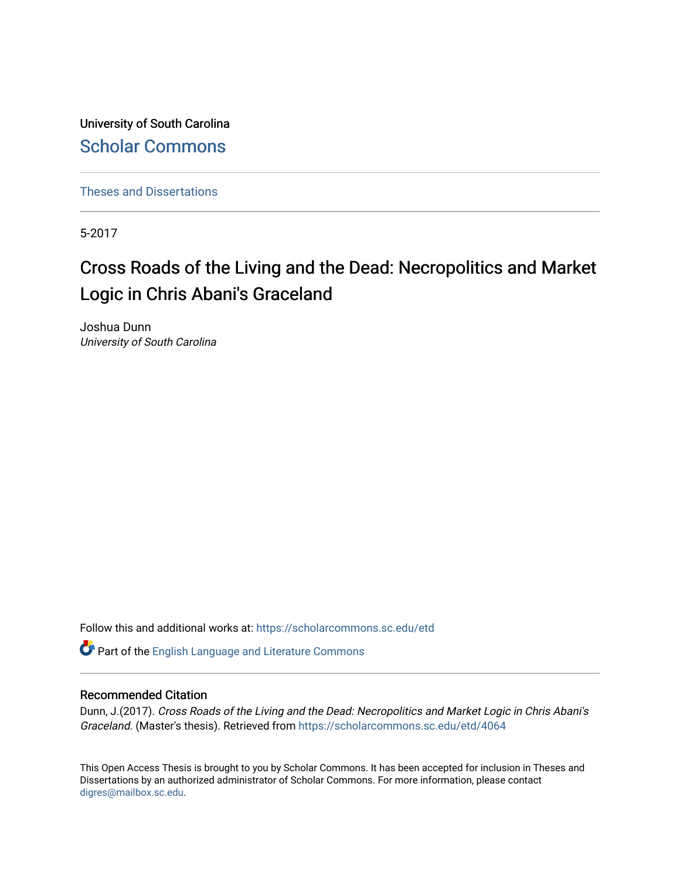University of South Carolina [Scholar Commons](https://scholarcommons.sc.edu/) 

[Theses and Dissertations](https://scholarcommons.sc.edu/etd)

5-2017

# Cross Roads of the Living and the Dead: Necropolitics and Market Logic in Chris Abani's Graceland

Joshua Dunn University of South Carolina

Follow this and additional works at: [https://scholarcommons.sc.edu/etd](https://scholarcommons.sc.edu/etd?utm_source=scholarcommons.sc.edu%2Fetd%2F4064&utm_medium=PDF&utm_campaign=PDFCoverPages)

Part of the [English Language and Literature Commons](http://network.bepress.com/hgg/discipline/455?utm_source=scholarcommons.sc.edu%2Fetd%2F4064&utm_medium=PDF&utm_campaign=PDFCoverPages)

#### Recommended Citation

Dunn, J.(2017). Cross Roads of the Living and the Dead: Necropolitics and Market Logic in Chris Abani's Graceland. (Master's thesis). Retrieved from [https://scholarcommons.sc.edu/etd/4064](https://scholarcommons.sc.edu/etd/4064?utm_source=scholarcommons.sc.edu%2Fetd%2F4064&utm_medium=PDF&utm_campaign=PDFCoverPages) 

This Open Access Thesis is brought to you by Scholar Commons. It has been accepted for inclusion in Theses and Dissertations by an authorized administrator of Scholar Commons. For more information, please contact [digres@mailbox.sc.edu](mailto:digres@mailbox.sc.edu).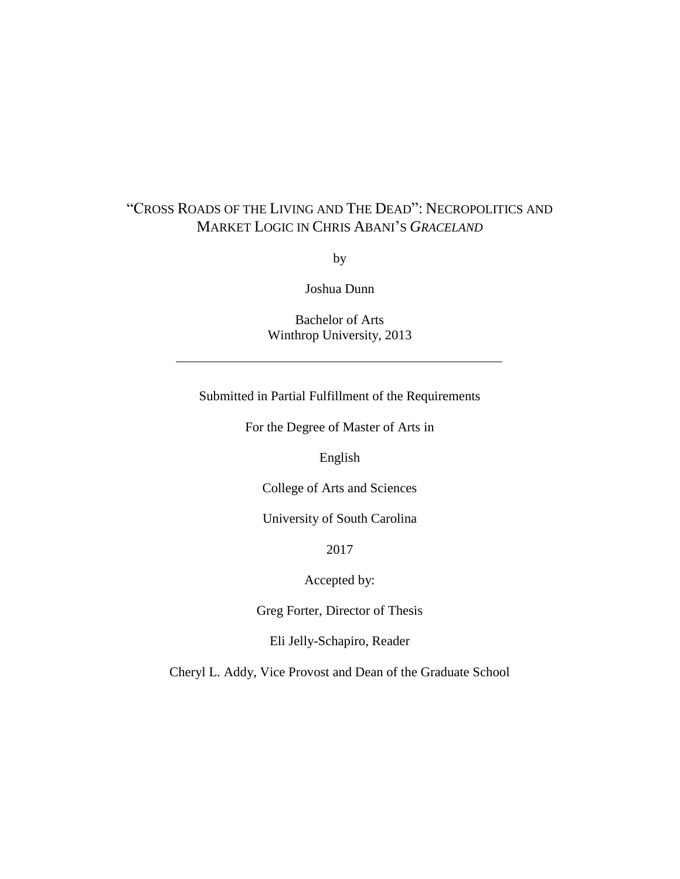# "CROSS ROADS OF THE LIVING AND THE DEAD": NECROPOLITICS AND MARKET LOGIC IN CHRIS ABANI'S *GRACELAND*

by

Joshua Dunn

Bachelor of Arts Winthrop University, 2013

Submitted in Partial Fulfillment of the Requirements

For the Degree of Master of Arts in

English

College of Arts and Sciences

University of South Carolina

2017

Accepted by:

Greg Forter, Director of Thesis

Eli Jelly-Schapiro, Reader

Cheryl L. Addy, Vice Provost and Dean of the Graduate School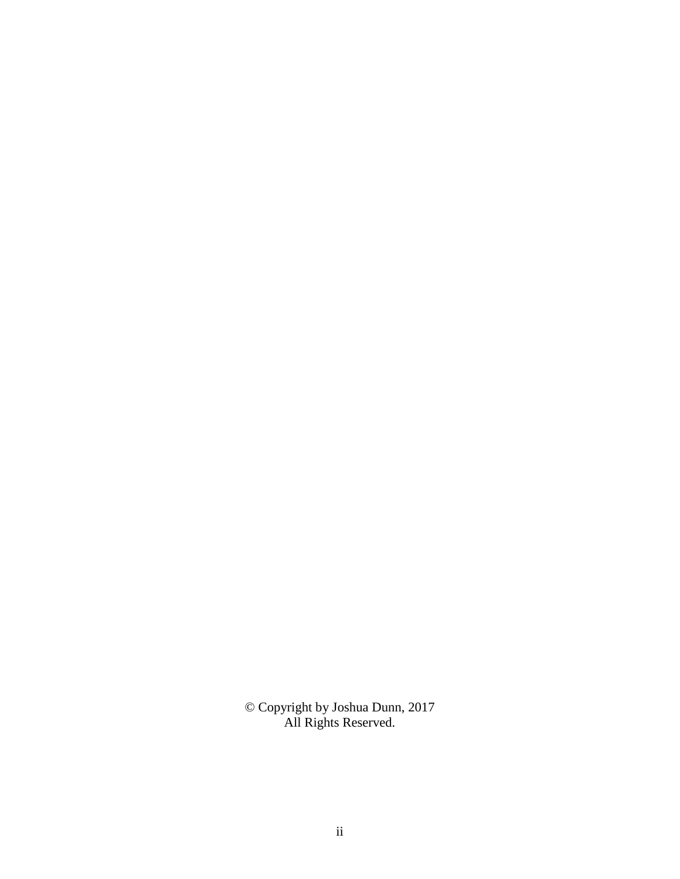© Copyright by Joshua Dunn, 2017 All Rights Reserved.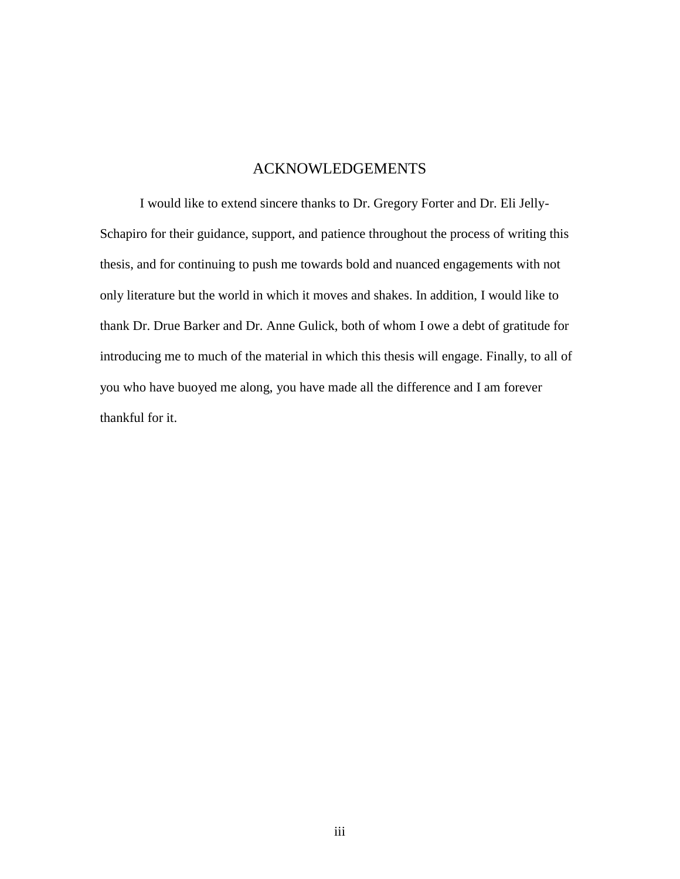### ACKNOWLEDGEMENTS

I would like to extend sincere thanks to Dr. Gregory Forter and Dr. Eli Jelly-Schapiro for their guidance, support, and patience throughout the process of writing this thesis, and for continuing to push me towards bold and nuanced engagements with not only literature but the world in which it moves and shakes. In addition, I would like to thank Dr. Drue Barker and Dr. Anne Gulick, both of whom I owe a debt of gratitude for introducing me to much of the material in which this thesis will engage. Finally, to all of you who have buoyed me along, you have made all the difference and I am forever thankful for it.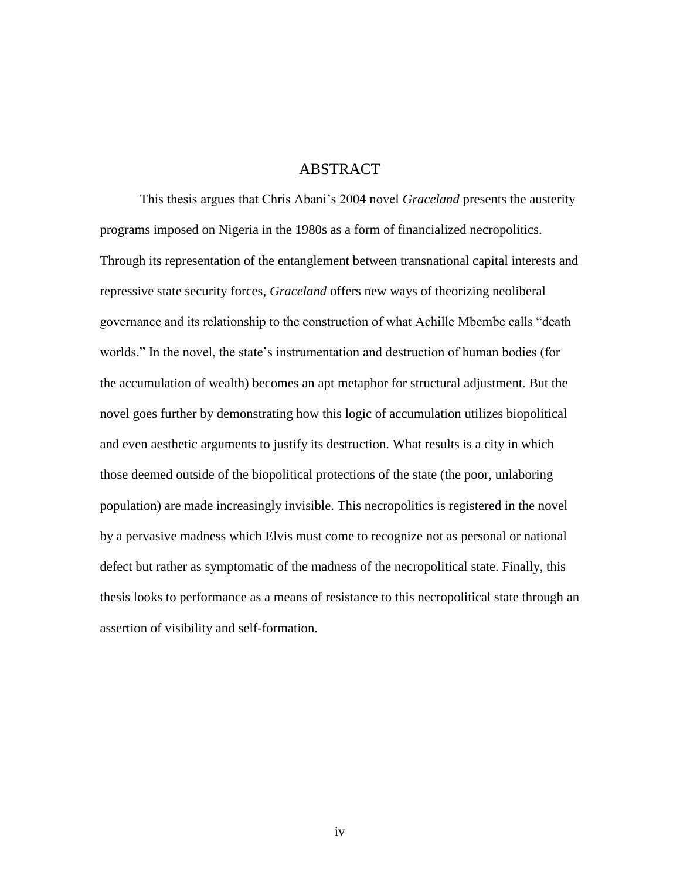### ABSTRACT

This thesis argues that Chris Abani's 2004 novel *Graceland* presents the austerity programs imposed on Nigeria in the 1980s as a form of financialized necropolitics. Through its representation of the entanglement between transnational capital interests and repressive state security forces, *Graceland* offers new ways of theorizing neoliberal governance and its relationship to the construction of what Achille Mbembe calls "death worlds." In the novel, the state's instrumentation and destruction of human bodies (for the accumulation of wealth) becomes an apt metaphor for structural adjustment. But the novel goes further by demonstrating how this logic of accumulation utilizes biopolitical and even aesthetic arguments to justify its destruction. What results is a city in which those deemed outside of the biopolitical protections of the state (the poor, unlaboring population) are made increasingly invisible. This necropolitics is registered in the novel by a pervasive madness which Elvis must come to recognize not as personal or national defect but rather as symptomatic of the madness of the necropolitical state. Finally, this thesis looks to performance as a means of resistance to this necropolitical state through an assertion of visibility and self-formation.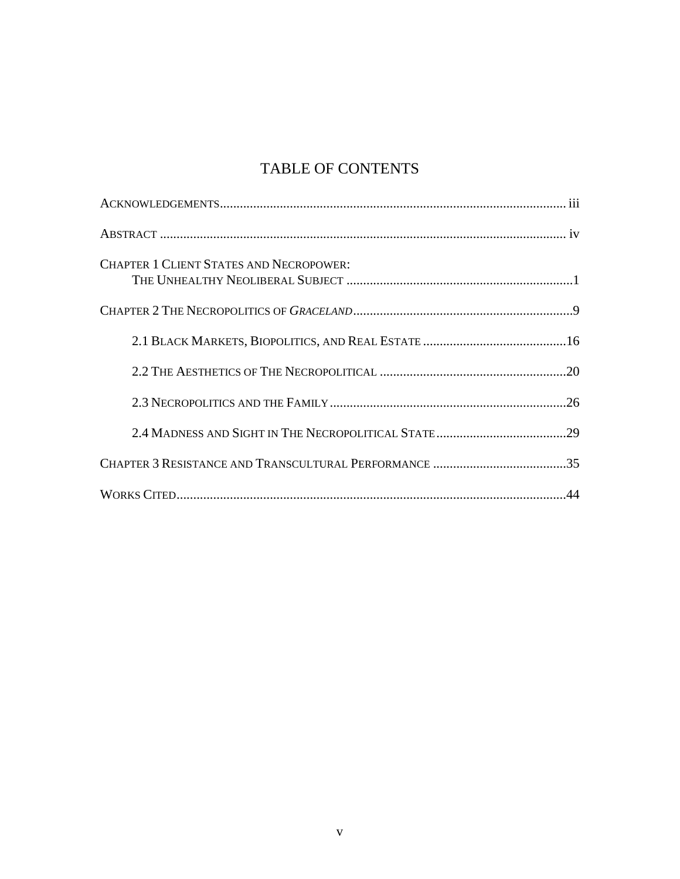# TABLE OF CONTENTS

| <b>CHAPTER 1 CLIENT STATES AND NECROPOWER:</b> |
|------------------------------------------------|
|                                                |
|                                                |
|                                                |
|                                                |
|                                                |
|                                                |
|                                                |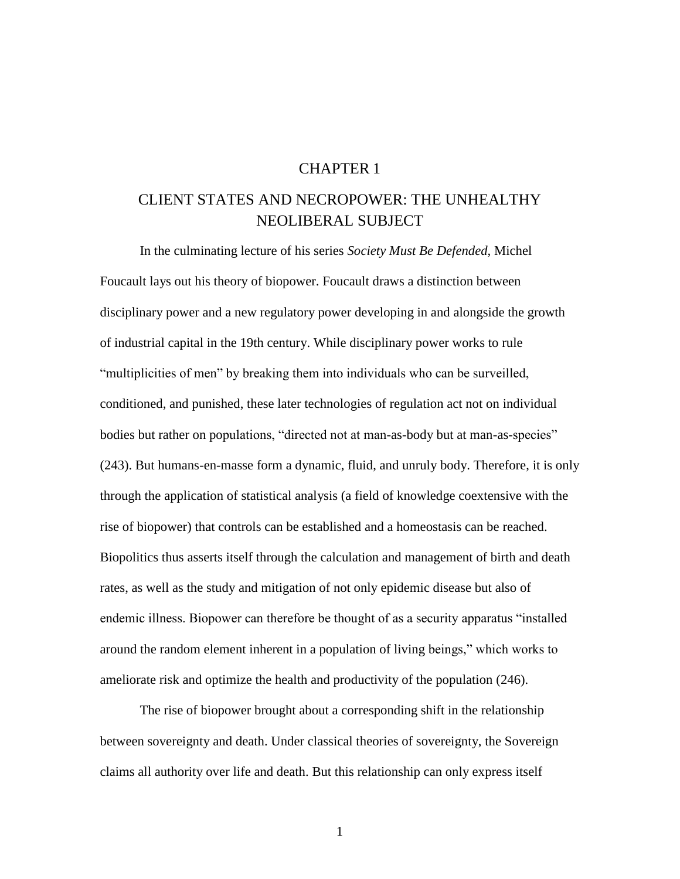### CHAPTER 1

# CLIENT STATES AND NECROPOWER: THE UNHEALTHY NEOLIBERAL SUBJECT

In the culminating lecture of his series *Society Must Be Defended*, Michel Foucault lays out his theory of biopower. Foucault draws a distinction between disciplinary power and a new regulatory power developing in and alongside the growth of industrial capital in the 19th century. While disciplinary power works to rule "multiplicities of men" by breaking them into individuals who can be surveilled, conditioned, and punished, these later technologies of regulation act not on individual bodies but rather on populations, "directed not at man-as-body but at man-as-species" (243). But humans-en-masse form a dynamic, fluid, and unruly body. Therefore, it is only through the application of statistical analysis (a field of knowledge coextensive with the rise of biopower) that controls can be established and a homeostasis can be reached. Biopolitics thus asserts itself through the calculation and management of birth and death rates, as well as the study and mitigation of not only epidemic disease but also of endemic illness. Biopower can therefore be thought of as a security apparatus "installed around the random element inherent in a population of living beings," which works to ameliorate risk and optimize the health and productivity of the population (246).

The rise of biopower brought about a corresponding shift in the relationship between sovereignty and death. Under classical theories of sovereignty, the Sovereign claims all authority over life and death. But this relationship can only express itself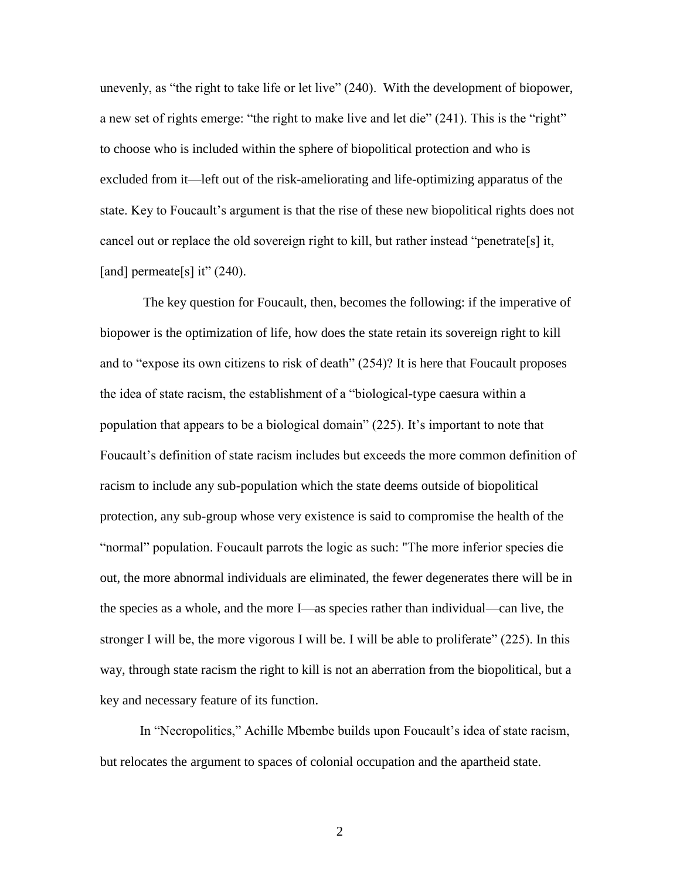unevenly, as "the right to take life or let live" (240). With the development of biopower, a new set of rights emerge: "the right to make live and let die" (241). This is the "right" to choose who is included within the sphere of biopolitical protection and who is excluded from it—left out of the risk-ameliorating and life-optimizing apparatus of the state. Key to Foucault's argument is that the rise of these new biopolitical rights does not cancel out or replace the old sovereign right to kill, but rather instead "penetrate[s] it, [and] permeate[s] it"  $(240)$ .

The key question for Foucault, then, becomes the following: if the imperative of biopower is the optimization of life, how does the state retain its sovereign right to kill and to "expose its own citizens to risk of death" (254)? It is here that Foucault proposes the idea of state racism, the establishment of a "biological-type caesura within a population that appears to be a biological domain" (225). It's important to note that Foucault's definition of state racism includes but exceeds the more common definition of racism to include any sub-population which the state deems outside of biopolitical protection, any sub-group whose very existence is said to compromise the health of the "normal" population. Foucault parrots the logic as such: "The more inferior species die out, the more abnormal individuals are eliminated, the fewer degenerates there will be in the species as a whole, and the more I—as species rather than individual—can live, the stronger I will be, the more vigorous I will be. I will be able to proliferate" (225). In this way, through state racism the right to kill is not an aberration from the biopolitical, but a key and necessary feature of its function.

In "Necropolitics," Achille Mbembe builds upon Foucault's idea of state racism, but relocates the argument to spaces of colonial occupation and the apartheid state.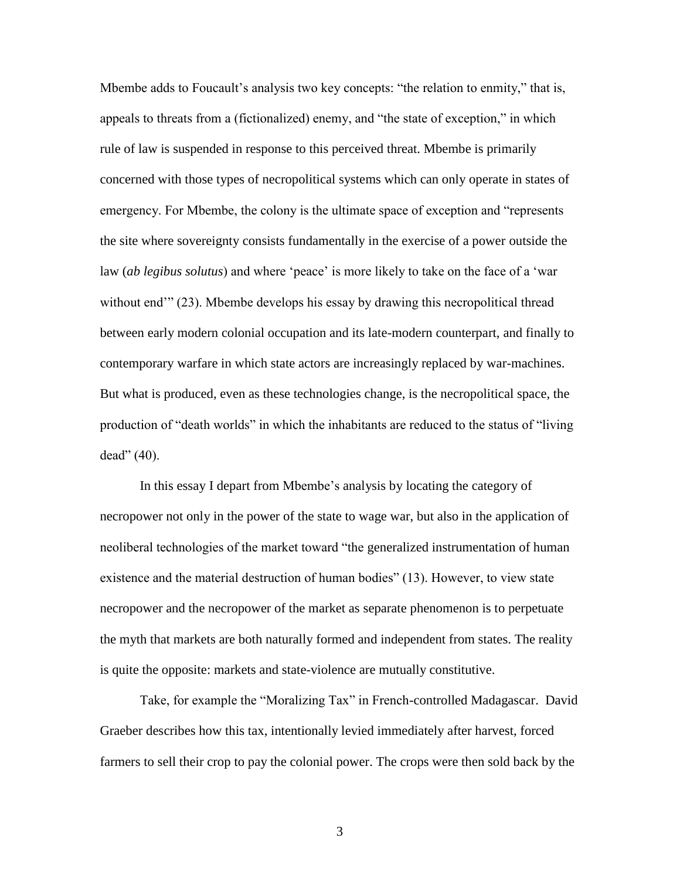Mbembe adds to Foucault's analysis two key concepts: "the relation to enmity," that is, appeals to threats from a (fictionalized) enemy, and "the state of exception," in which rule of law is suspended in response to this perceived threat. Mbembe is primarily concerned with those types of necropolitical systems which can only operate in states of emergency. For Mbembe, the colony is the ultimate space of exception and "represents the site where sovereignty consists fundamentally in the exercise of a power outside the law (*ab legibus solutus*) and where 'peace' is more likely to take on the face of a 'war without end<sup>"</sup> (23). Mbembe develops his essay by drawing this necropolitical thread between early modern colonial occupation and its late-modern counterpart, and finally to contemporary warfare in which state actors are increasingly replaced by war-machines. But what is produced, even as these technologies change, is the necropolitical space, the production of "death worlds" in which the inhabitants are reduced to the status of "living dead" (40).

In this essay I depart from Mbembe's analysis by locating the category of necropower not only in the power of the state to wage war, but also in the application of neoliberal technologies of the market toward "the generalized instrumentation of human existence and the material destruction of human bodies" (13). However, to view state necropower and the necropower of the market as separate phenomenon is to perpetuate the myth that markets are both naturally formed and independent from states. The reality is quite the opposite: markets and state-violence are mutually constitutive.

Take, for example the "Moralizing Tax" in French-controlled Madagascar. David Graeber describes how this tax, intentionally levied immediately after harvest, forced farmers to sell their crop to pay the colonial power. The crops were then sold back by the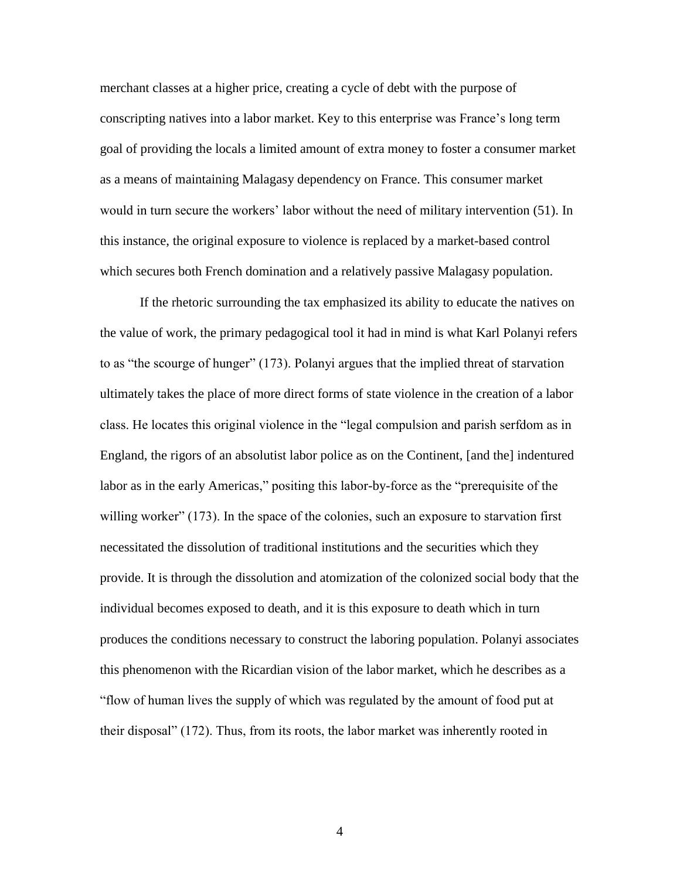merchant classes at a higher price, creating a cycle of debt with the purpose of conscripting natives into a labor market. Key to this enterprise was France's long term goal of providing the locals a limited amount of extra money to foster a consumer market as a means of maintaining Malagasy dependency on France. This consumer market would in turn secure the workers' labor without the need of military intervention (51). In this instance, the original exposure to violence is replaced by a market-based control which secures both French domination and a relatively passive Malagasy population.

If the rhetoric surrounding the tax emphasized its ability to educate the natives on the value of work, the primary pedagogical tool it had in mind is what Karl Polanyi refers to as "the scourge of hunger" (173). Polanyi argues that the implied threat of starvation ultimately takes the place of more direct forms of state violence in the creation of a labor class. He locates this original violence in the "legal compulsion and parish serfdom as in England, the rigors of an absolutist labor police as on the Continent, [and the] indentured labor as in the early Americas," positing this labor-by-force as the "prerequisite of the willing worker" (173). In the space of the colonies, such an exposure to starvation first necessitated the dissolution of traditional institutions and the securities which they provide. It is through the dissolution and atomization of the colonized social body that the individual becomes exposed to death, and it is this exposure to death which in turn produces the conditions necessary to construct the laboring population. Polanyi associates this phenomenon with the Ricardian vision of the labor market, which he describes as a "flow of human lives the supply of which was regulated by the amount of food put at their disposal" (172). Thus, from its roots, the labor market was inherently rooted in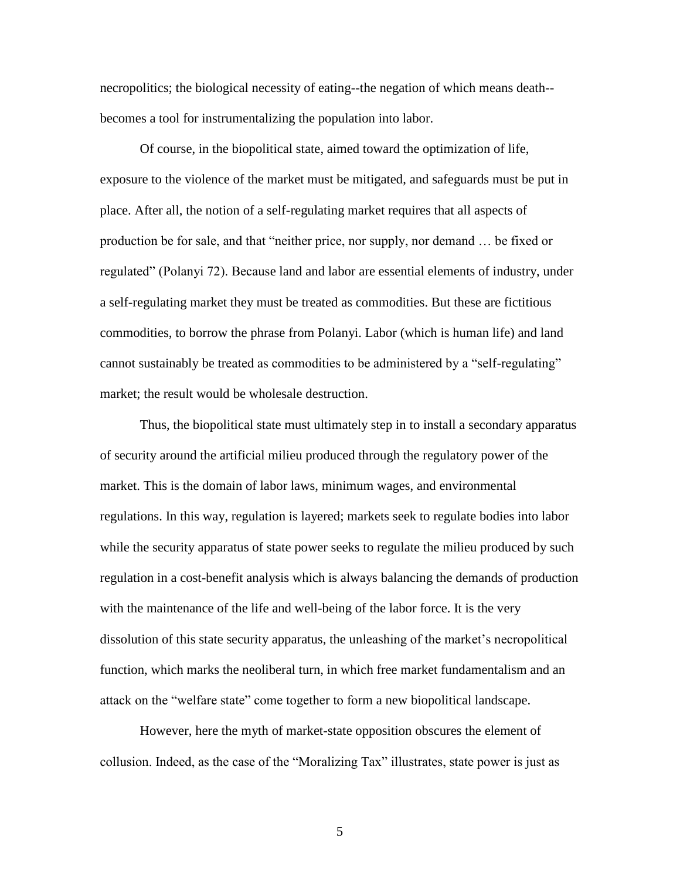necropolitics; the biological necessity of eating--the negation of which means death- becomes a tool for instrumentalizing the population into labor.

Of course, in the biopolitical state, aimed toward the optimization of life, exposure to the violence of the market must be mitigated, and safeguards must be put in place. After all, the notion of a self-regulating market requires that all aspects of production be for sale, and that "neither price, nor supply, nor demand … be fixed or regulated" (Polanyi 72). Because land and labor are essential elements of industry, under a self-regulating market they must be treated as commodities. But these are fictitious commodities, to borrow the phrase from Polanyi. Labor (which is human life) and land cannot sustainably be treated as commodities to be administered by a "self-regulating" market; the result would be wholesale destruction.

Thus, the biopolitical state must ultimately step in to install a secondary apparatus of security around the artificial milieu produced through the regulatory power of the market. This is the domain of labor laws, minimum wages, and environmental regulations. In this way, regulation is layered; markets seek to regulate bodies into labor while the security apparatus of state power seeks to regulate the milieu produced by such regulation in a cost-benefit analysis which is always balancing the demands of production with the maintenance of the life and well-being of the labor force. It is the very dissolution of this state security apparatus, the unleashing of the market's necropolitical function, which marks the neoliberal turn, in which free market fundamentalism and an attack on the "welfare state" come together to form a new biopolitical landscape.

However, here the myth of market-state opposition obscures the element of collusion. Indeed, as the case of the "Moralizing Tax" illustrates, state power is just as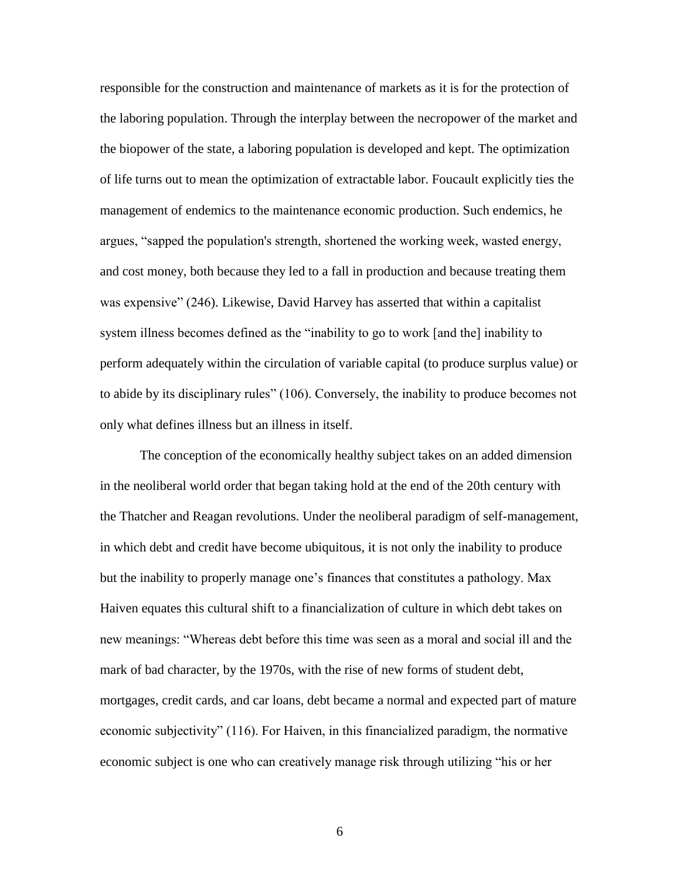responsible for the construction and maintenance of markets as it is for the protection of the laboring population. Through the interplay between the necropower of the market and the biopower of the state, a laboring population is developed and kept. The optimization of life turns out to mean the optimization of extractable labor. Foucault explicitly ties the management of endemics to the maintenance economic production. Such endemics, he argues, "sapped the population's strength, shortened the working week, wasted energy, and cost money, both because they led to a fall in production and because treating them was expensive" (246). Likewise, David Harvey has asserted that within a capitalist system illness becomes defined as the "inability to go to work [and the] inability to perform adequately within the circulation of variable capital (to produce surplus value) or to abide by its disciplinary rules" (106). Conversely, the inability to produce becomes not only what defines illness but an illness in itself.

The conception of the economically healthy subject takes on an added dimension in the neoliberal world order that began taking hold at the end of the 20th century with the Thatcher and Reagan revolutions. Under the neoliberal paradigm of self-management, in which debt and credit have become ubiquitous, it is not only the inability to produce but the inability to properly manage one's finances that constitutes a pathology. Max Haiven equates this cultural shift to a financialization of culture in which debt takes on new meanings: "Whereas debt before this time was seen as a moral and social ill and the mark of bad character, by the 1970s, with the rise of new forms of student debt, mortgages, credit cards, and car loans, debt became a normal and expected part of mature economic subjectivity" (116). For Haiven, in this financialized paradigm, the normative economic subject is one who can creatively manage risk through utilizing "his or her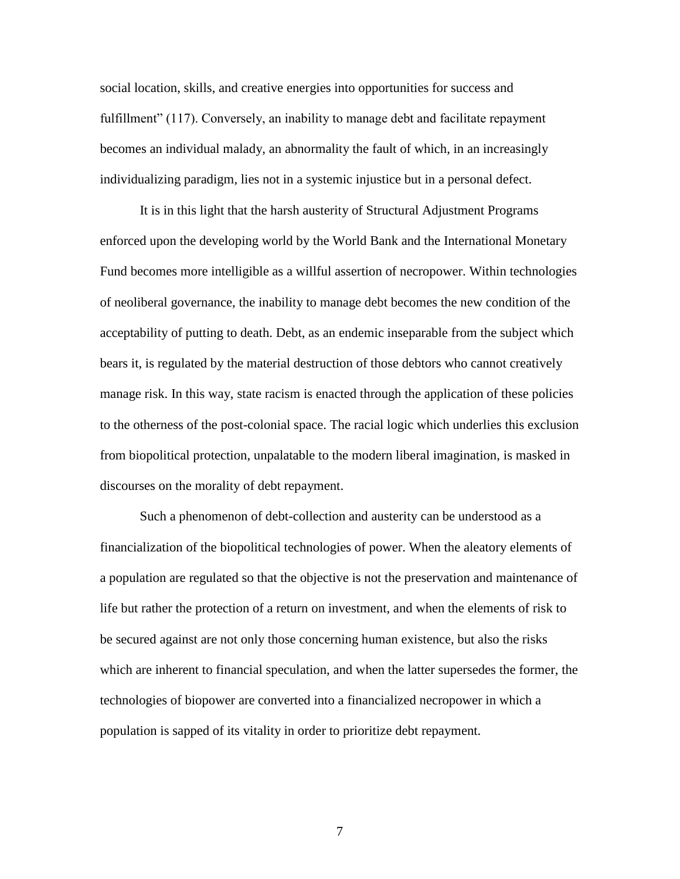social location, skills, and creative energies into opportunities for success and fulfillment" (117). Conversely, an inability to manage debt and facilitate repayment becomes an individual malady, an abnormality the fault of which, in an increasingly individualizing paradigm, lies not in a systemic injustice but in a personal defect.

It is in this light that the harsh austerity of Structural Adjustment Programs enforced upon the developing world by the World Bank and the International Monetary Fund becomes more intelligible as a willful assertion of necropower. Within technologies of neoliberal governance, the inability to manage debt becomes the new condition of the acceptability of putting to death. Debt, as an endemic inseparable from the subject which bears it, is regulated by the material destruction of those debtors who cannot creatively manage risk. In this way, state racism is enacted through the application of these policies to the otherness of the post-colonial space. The racial logic which underlies this exclusion from biopolitical protection, unpalatable to the modern liberal imagination, is masked in discourses on the morality of debt repayment.

Such a phenomenon of debt-collection and austerity can be understood as a financialization of the biopolitical technologies of power. When the aleatory elements of a population are regulated so that the objective is not the preservation and maintenance of life but rather the protection of a return on investment, and when the elements of risk to be secured against are not only those concerning human existence, but also the risks which are inherent to financial speculation, and when the latter supersedes the former, the technologies of biopower are converted into a financialized necropower in which a population is sapped of its vitality in order to prioritize debt repayment.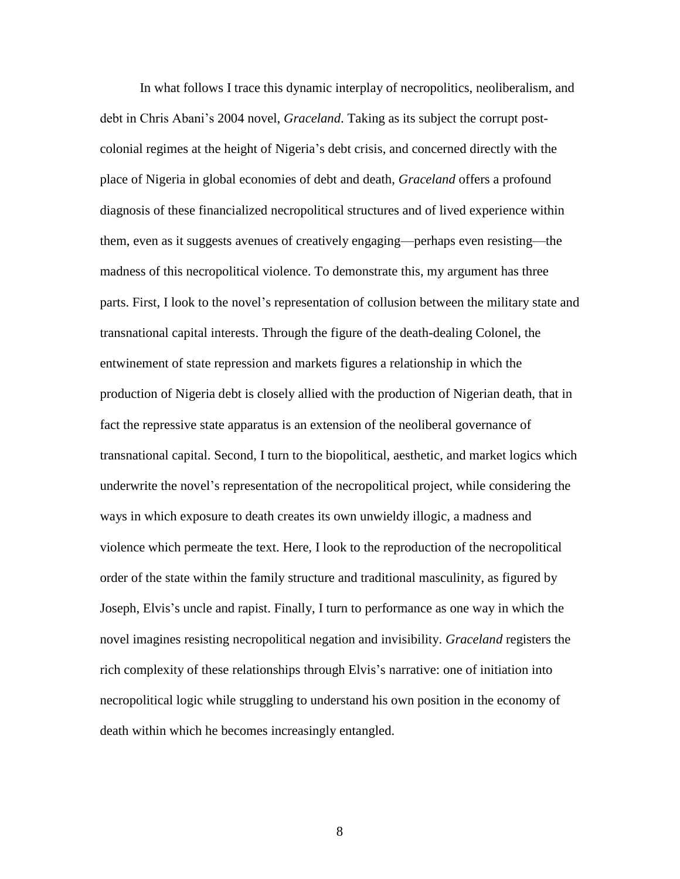In what follows I trace this dynamic interplay of necropolitics, neoliberalism, and debt in Chris Abani's 2004 novel, *Graceland*. Taking as its subject the corrupt postcolonial regimes at the height of Nigeria's debt crisis, and concerned directly with the place of Nigeria in global economies of debt and death, *Graceland* offers a profound diagnosis of these financialized necropolitical structures and of lived experience within them, even as it suggests avenues of creatively engaging—perhaps even resisting—the madness of this necropolitical violence. To demonstrate this, my argument has three parts. First, I look to the novel's representation of collusion between the military state and transnational capital interests. Through the figure of the death-dealing Colonel, the entwinement of state repression and markets figures a relationship in which the production of Nigeria debt is closely allied with the production of Nigerian death, that in fact the repressive state apparatus is an extension of the neoliberal governance of transnational capital. Second, I turn to the biopolitical, aesthetic, and market logics which underwrite the novel's representation of the necropolitical project, while considering the ways in which exposure to death creates its own unwieldy illogic, a madness and violence which permeate the text. Here, I look to the reproduction of the necropolitical order of the state within the family structure and traditional masculinity, as figured by Joseph, Elvis's uncle and rapist. Finally, I turn to performance as one way in which the novel imagines resisting necropolitical negation and invisibility. *Graceland* registers the rich complexity of these relationships through Elvis's narrative: one of initiation into necropolitical logic while struggling to understand his own position in the economy of death within which he becomes increasingly entangled.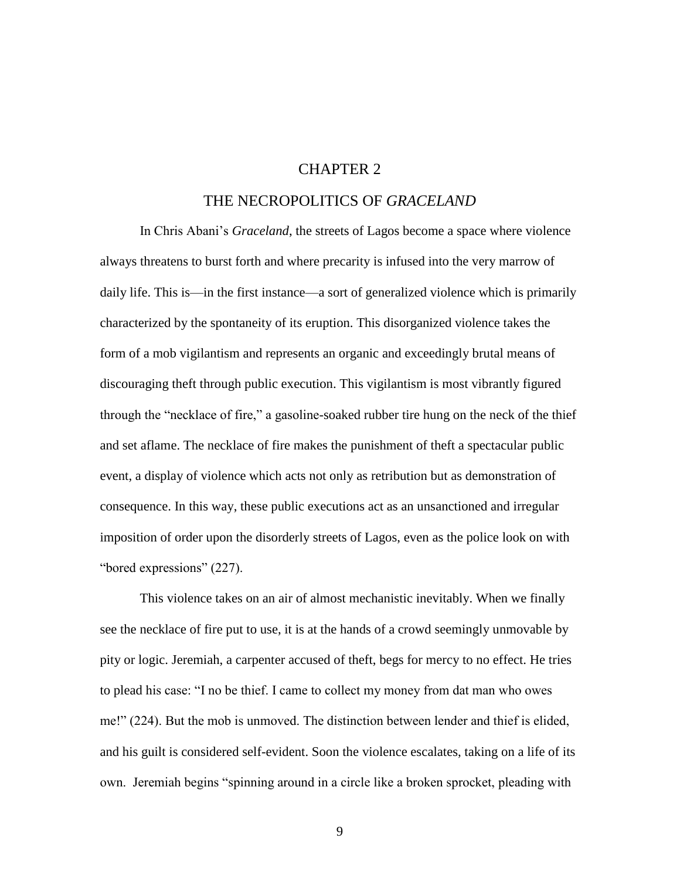#### CHAPTER 2

#### THE NECROPOLITICS OF *GRACELAND*

In Chris Abani's *Graceland*, the streets of Lagos become a space where violence always threatens to burst forth and where precarity is infused into the very marrow of daily life. This is—in the first instance—a sort of generalized violence which is primarily characterized by the spontaneity of its eruption. This disorganized violence takes the form of a mob vigilantism and represents an organic and exceedingly brutal means of discouraging theft through public execution. This vigilantism is most vibrantly figured through the "necklace of fire," a gasoline-soaked rubber tire hung on the neck of the thief and set aflame. The necklace of fire makes the punishment of theft a spectacular public event, a display of violence which acts not only as retribution but as demonstration of consequence. In this way, these public executions act as an unsanctioned and irregular imposition of order upon the disorderly streets of Lagos, even as the police look on with "bored expressions" (227).

This violence takes on an air of almost mechanistic inevitably. When we finally see the necklace of fire put to use, it is at the hands of a crowd seemingly unmovable by pity or logic. Jeremiah, a carpenter accused of theft, begs for mercy to no effect. He tries to plead his case: "I no be thief. I came to collect my money from dat man who owes me!" (224). But the mob is unmoved. The distinction between lender and thief is elided, and his guilt is considered self-evident. Soon the violence escalates, taking on a life of its own. Jeremiah begins "spinning around in a circle like a broken sprocket, pleading with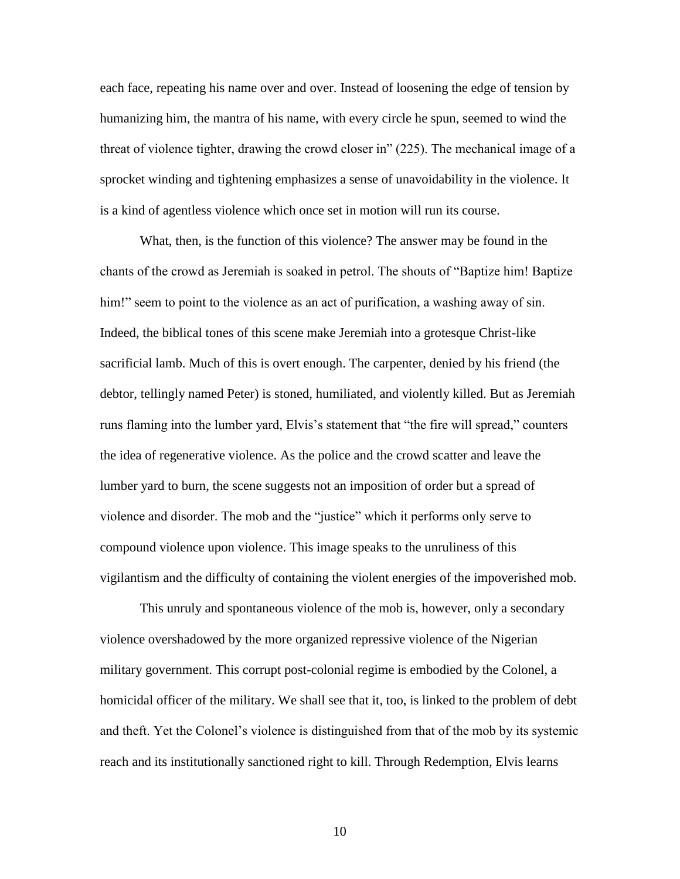each face, repeating his name over and over. Instead of loosening the edge of tension by humanizing him, the mantra of his name, with every circle he spun, seemed to wind the threat of violence tighter, drawing the crowd closer in" (225). The mechanical image of a sprocket winding and tightening emphasizes a sense of unavoidability in the violence. It is a kind of agentless violence which once set in motion will run its course.

What, then, is the function of this violence? The answer may be found in the chants of the crowd as Jeremiah is soaked in petrol. The shouts of "Baptize him! Baptize him!" seem to point to the violence as an act of purification, a washing away of sin. Indeed, the biblical tones of this scene make Jeremiah into a grotesque Christ-like sacrificial lamb. Much of this is overt enough. The carpenter, denied by his friend (the debtor, tellingly named Peter) is stoned, humiliated, and violently killed. But as Jeremiah runs flaming into the lumber yard, Elvis's statement that "the fire will spread," counters the idea of regenerative violence. As the police and the crowd scatter and leave the lumber yard to burn, the scene suggests not an imposition of order but a spread of violence and disorder. The mob and the "justice" which it performs only serve to compound violence upon violence. This image speaks to the unruliness of this vigilantism and the difficulty of containing the violent energies of the impoverished mob.

This unruly and spontaneous violence of the mob is, however, only a secondary violence overshadowed by the more organized repressive violence of the Nigerian military government. This corrupt post-colonial regime is embodied by the Colonel, a homicidal officer of the military. We shall see that it, too, is linked to the problem of debt and theft. Yet the Colonel's violence is distinguished from that of the mob by its systemic reach and its institutionally sanctioned right to kill. Through Redemption, Elvis learns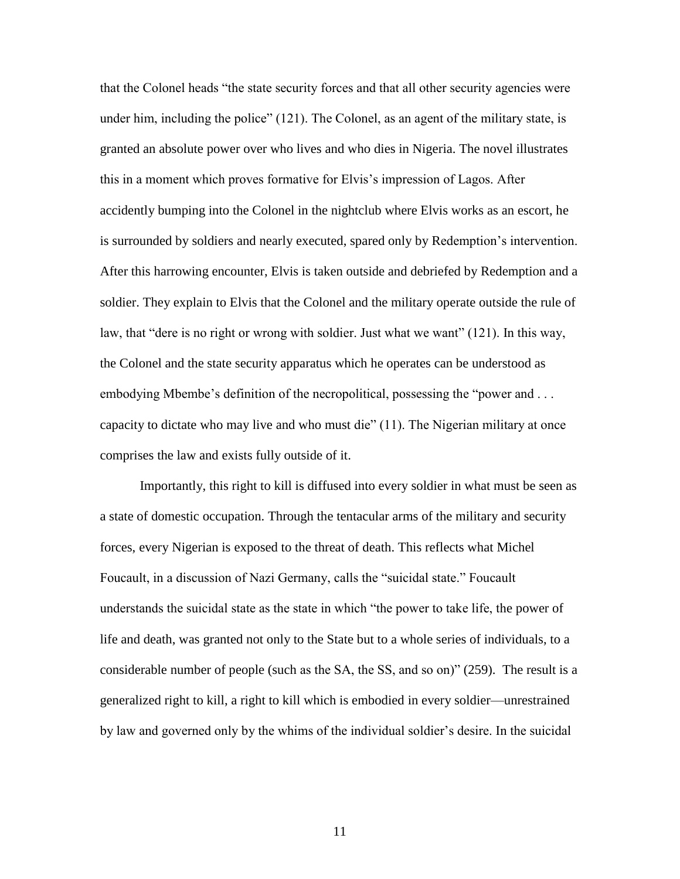that the Colonel heads "the state security forces and that all other security agencies were under him, including the police" (121). The Colonel, as an agent of the military state, is granted an absolute power over who lives and who dies in Nigeria. The novel illustrates this in a moment which proves formative for Elvis's impression of Lagos. After accidently bumping into the Colonel in the nightclub where Elvis works as an escort, he is surrounded by soldiers and nearly executed, spared only by Redemption's intervention. After this harrowing encounter, Elvis is taken outside and debriefed by Redemption and a soldier. They explain to Elvis that the Colonel and the military operate outside the rule of law, that "dere is no right or wrong with soldier. Just what we want" (121). In this way, the Colonel and the state security apparatus which he operates can be understood as embodying Mbembe's definition of the necropolitical, possessing the "power and . . . capacity to dictate who may live and who must die" (11). The Nigerian military at once comprises the law and exists fully outside of it.

Importantly, this right to kill is diffused into every soldier in what must be seen as a state of domestic occupation. Through the tentacular arms of the military and security forces, every Nigerian is exposed to the threat of death. This reflects what Michel Foucault, in a discussion of Nazi Germany, calls the "suicidal state." Foucault understands the suicidal state as the state in which "the power to take life, the power of life and death, was granted not only to the State but to a whole series of individuals, to a considerable number of people (such as the SA, the SS, and so on)" (259). The result is a generalized right to kill, a right to kill which is embodied in every soldier—unrestrained by law and governed only by the whims of the individual soldier's desire. In the suicidal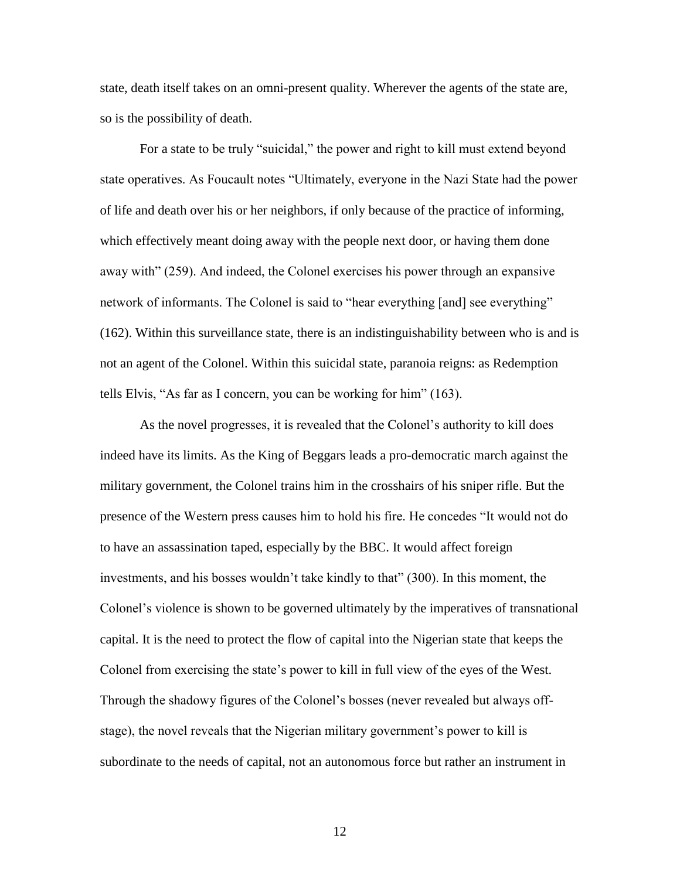state, death itself takes on an omni-present quality. Wherever the agents of the state are, so is the possibility of death.

For a state to be truly "suicidal," the power and right to kill must extend beyond state operatives. As Foucault notes "Ultimately, everyone in the Nazi State had the power of life and death over his or her neighbors, if only because of the practice of informing, which effectively meant doing away with the people next door, or having them done away with" (259). And indeed, the Colonel exercises his power through an expansive network of informants. The Colonel is said to "hear everything [and] see everything" (162). Within this surveillance state, there is an indistinguishability between who is and is not an agent of the Colonel. Within this suicidal state, paranoia reigns: as Redemption tells Elvis, "As far as I concern, you can be working for him" (163).

As the novel progresses, it is revealed that the Colonel's authority to kill does indeed have its limits. As the King of Beggars leads a pro-democratic march against the military government, the Colonel trains him in the crosshairs of his sniper rifle. But the presence of the Western press causes him to hold his fire. He concedes "It would not do to have an assassination taped, especially by the BBC. It would affect foreign investments, and his bosses wouldn't take kindly to that" (300). In this moment, the Colonel's violence is shown to be governed ultimately by the imperatives of transnational capital. It is the need to protect the flow of capital into the Nigerian state that keeps the Colonel from exercising the state's power to kill in full view of the eyes of the West. Through the shadowy figures of the Colonel's bosses (never revealed but always offstage), the novel reveals that the Nigerian military government's power to kill is subordinate to the needs of capital, not an autonomous force but rather an instrument in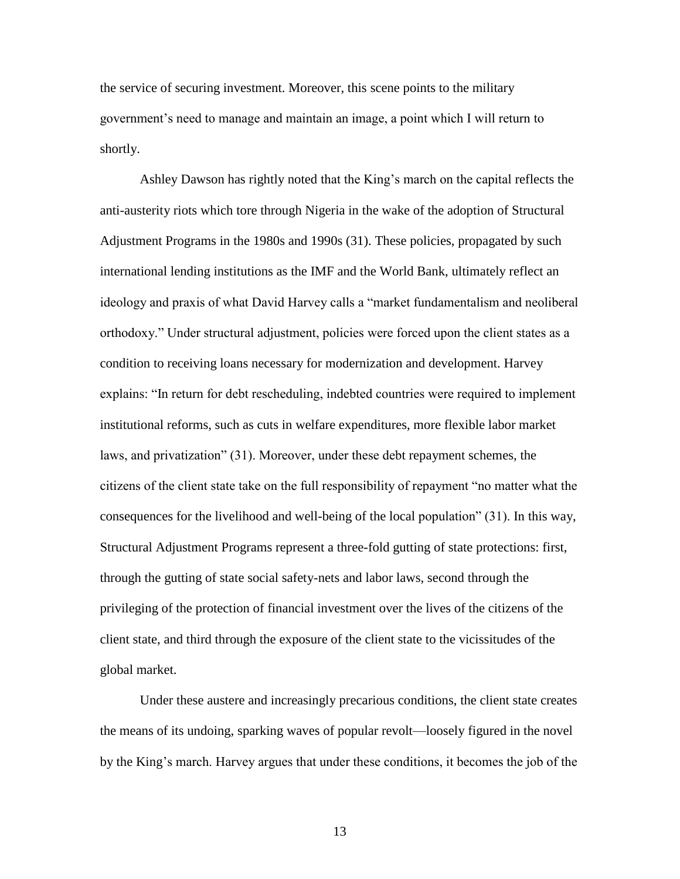the service of securing investment. Moreover, this scene points to the military government's need to manage and maintain an image, a point which I will return to shortly.

Ashley Dawson has rightly noted that the King's march on the capital reflects the anti-austerity riots which tore through Nigeria in the wake of the adoption of Structural Adjustment Programs in the 1980s and 1990s (31). These policies, propagated by such international lending institutions as the IMF and the World Bank, ultimately reflect an ideology and praxis of what David Harvey calls a "market fundamentalism and neoliberal orthodoxy." Under structural adjustment, policies were forced upon the client states as a condition to receiving loans necessary for modernization and development. Harvey explains: "In return for debt rescheduling, indebted countries were required to implement institutional reforms, such as cuts in welfare expenditures, more flexible labor market laws, and privatization" (31). Moreover, under these debt repayment schemes, the citizens of the client state take on the full responsibility of repayment "no matter what the consequences for the livelihood and well-being of the local population" (31). In this way, Structural Adjustment Programs represent a three-fold gutting of state protections: first, through the gutting of state social safety-nets and labor laws, second through the privileging of the protection of financial investment over the lives of the citizens of the client state, and third through the exposure of the client state to the vicissitudes of the global market.

Under these austere and increasingly precarious conditions, the client state creates the means of its undoing, sparking waves of popular revolt—loosely figured in the novel by the King's march. Harvey argues that under these conditions, it becomes the job of the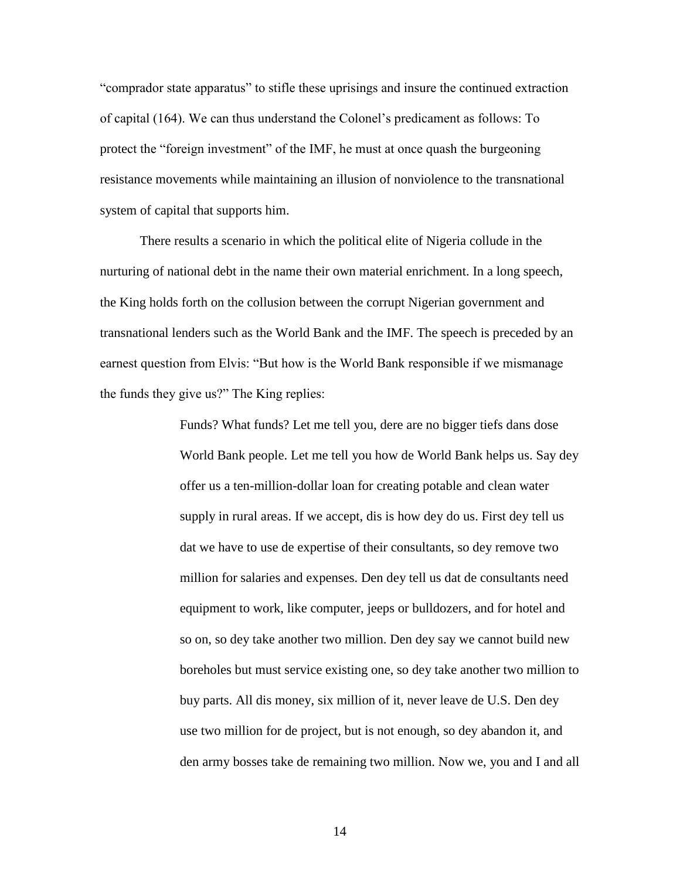"comprador state apparatus" to stifle these uprisings and insure the continued extraction of capital (164). We can thus understand the Colonel's predicament as follows: To protect the "foreign investment" of the IMF, he must at once quash the burgeoning resistance movements while maintaining an illusion of nonviolence to the transnational system of capital that supports him.

There results a scenario in which the political elite of Nigeria collude in the nurturing of national debt in the name their own material enrichment. In a long speech, the King holds forth on the collusion between the corrupt Nigerian government and transnational lenders such as the World Bank and the IMF. The speech is preceded by an earnest question from Elvis: "But how is the World Bank responsible if we mismanage the funds they give us?" The King replies:

> Funds? What funds? Let me tell you, dere are no bigger tiefs dans dose World Bank people. Let me tell you how de World Bank helps us. Say dey offer us a ten-million-dollar loan for creating potable and clean water supply in rural areas. If we accept, dis is how dey do us. First dey tell us dat we have to use de expertise of their consultants, so dey remove two million for salaries and expenses. Den dey tell us dat de consultants need equipment to work, like computer, jeeps or bulldozers, and for hotel and so on, so dey take another two million. Den dey say we cannot build new boreholes but must service existing one, so dey take another two million to buy parts. All dis money, six million of it, never leave de U.S. Den dey use two million for de project, but is not enough, so dey abandon it, and den army bosses take de remaining two million. Now we, you and I and all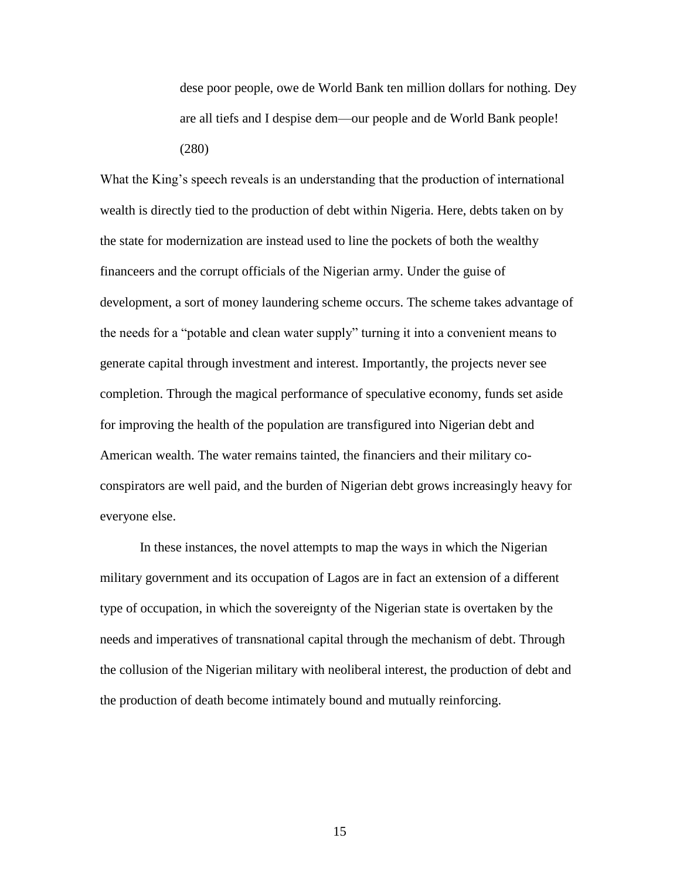dese poor people, owe de World Bank ten million dollars for nothing. Dey are all tiefs and I despise dem—our people and de World Bank people! (280)

What the King's speech reveals is an understanding that the production of international wealth is directly tied to the production of debt within Nigeria. Here, debts taken on by the state for modernization are instead used to line the pockets of both the wealthy financeers and the corrupt officials of the Nigerian army. Under the guise of development, a sort of money laundering scheme occurs. The scheme takes advantage of the needs for a "potable and clean water supply" turning it into a convenient means to generate capital through investment and interest. Importantly, the projects never see completion. Through the magical performance of speculative economy, funds set aside for improving the health of the population are transfigured into Nigerian debt and American wealth. The water remains tainted, the financiers and their military coconspirators are well paid, and the burden of Nigerian debt grows increasingly heavy for everyone else.

In these instances, the novel attempts to map the ways in which the Nigerian military government and its occupation of Lagos are in fact an extension of a different type of occupation, in which the sovereignty of the Nigerian state is overtaken by the needs and imperatives of transnational capital through the mechanism of debt. Through the collusion of the Nigerian military with neoliberal interest, the production of debt and the production of death become intimately bound and mutually reinforcing.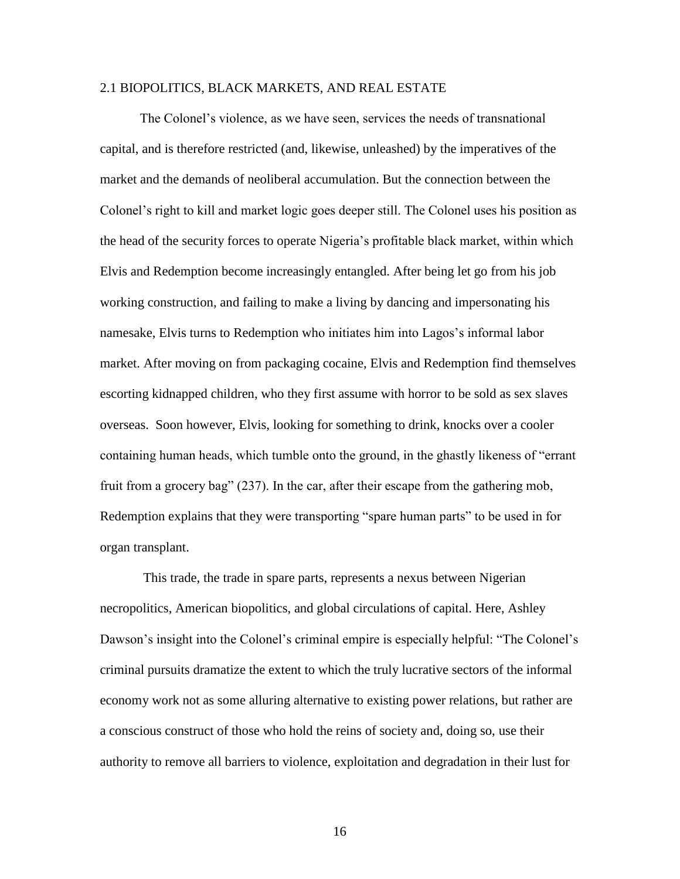#### 2.1 BIOPOLITICS, BLACK MARKETS, AND REAL ESTATE

The Colonel's violence, as we have seen, services the needs of transnational capital, and is therefore restricted (and, likewise, unleashed) by the imperatives of the market and the demands of neoliberal accumulation. But the connection between the Colonel's right to kill and market logic goes deeper still. The Colonel uses his position as the head of the security forces to operate Nigeria's profitable black market, within which Elvis and Redemption become increasingly entangled. After being let go from his job working construction, and failing to make a living by dancing and impersonating his namesake, Elvis turns to Redemption who initiates him into Lagos's informal labor market. After moving on from packaging cocaine, Elvis and Redemption find themselves escorting kidnapped children, who they first assume with horror to be sold as sex slaves overseas. Soon however, Elvis, looking for something to drink, knocks over a cooler containing human heads, which tumble onto the ground, in the ghastly likeness of "errant fruit from a grocery bag" (237). In the car, after their escape from the gathering mob, Redemption explains that they were transporting "spare human parts" to be used in for organ transplant.

This trade, the trade in spare parts, represents a nexus between Nigerian necropolitics, American biopolitics, and global circulations of capital. Here, Ashley Dawson's insight into the Colonel's criminal empire is especially helpful: "The Colonel's criminal pursuits dramatize the extent to which the truly lucrative sectors of the informal economy work not as some alluring alternative to existing power relations, but rather are a conscious construct of those who hold the reins of society and, doing so, use their authority to remove all barriers to violence, exploitation and degradation in their lust for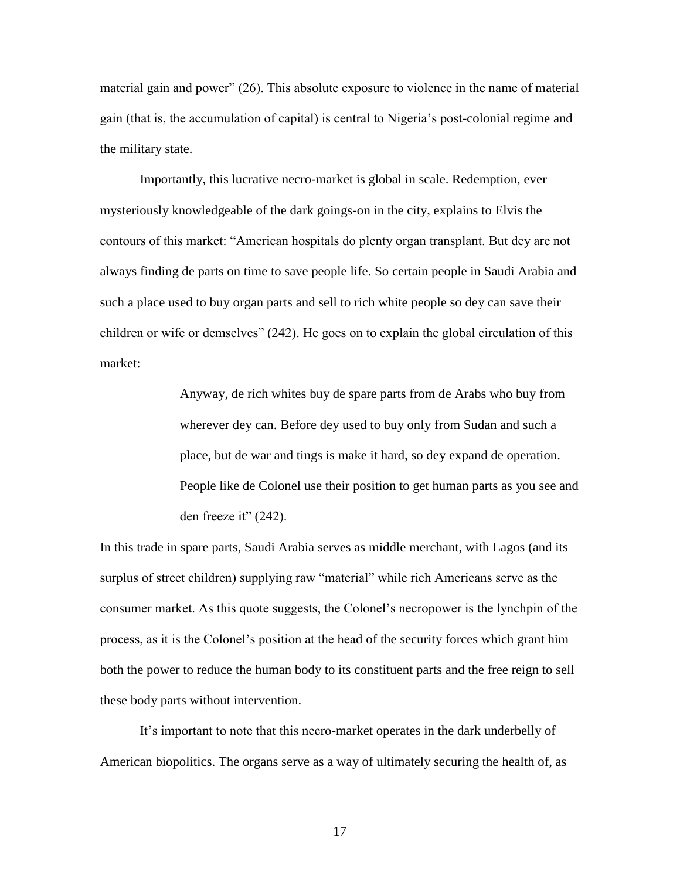material gain and power" (26). This absolute exposure to violence in the name of material gain (that is, the accumulation of capital) is central to Nigeria's post-colonial regime and the military state.

Importantly, this lucrative necro-market is global in scale. Redemption, ever mysteriously knowledgeable of the dark goings-on in the city, explains to Elvis the contours of this market: "American hospitals do plenty organ transplant. But dey are not always finding de parts on time to save people life. So certain people in Saudi Arabia and such a place used to buy organ parts and sell to rich white people so dey can save their children or wife or demselves" (242). He goes on to explain the global circulation of this market:

> Anyway, de rich whites buy de spare parts from de Arabs who buy from wherever dey can. Before dey used to buy only from Sudan and such a place, but de war and tings is make it hard, so dey expand de operation. People like de Colonel use their position to get human parts as you see and den freeze it" (242).

In this trade in spare parts, Saudi Arabia serves as middle merchant, with Lagos (and its surplus of street children) supplying raw "material" while rich Americans serve as the consumer market. As this quote suggests, the Colonel's necropower is the lynchpin of the process, as it is the Colonel's position at the head of the security forces which grant him both the power to reduce the human body to its constituent parts and the free reign to sell these body parts without intervention.

It's important to note that this necro-market operates in the dark underbelly of American biopolitics. The organs serve as a way of ultimately securing the health of, as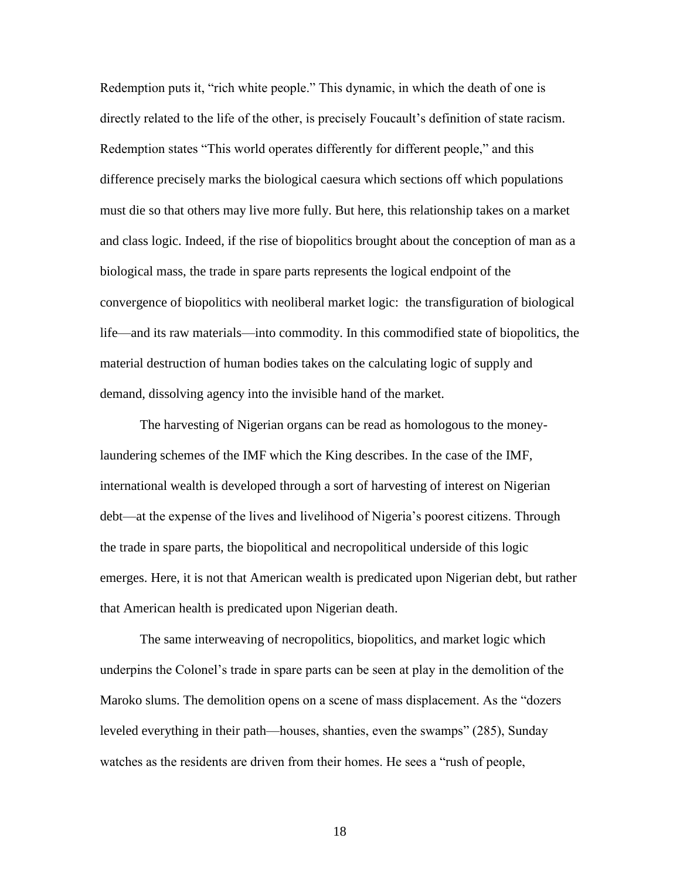Redemption puts it, "rich white people." This dynamic, in which the death of one is directly related to the life of the other, is precisely Foucault's definition of state racism. Redemption states "This world operates differently for different people," and this difference precisely marks the biological caesura which sections off which populations must die so that others may live more fully. But here, this relationship takes on a market and class logic. Indeed, if the rise of biopolitics brought about the conception of man as a biological mass, the trade in spare parts represents the logical endpoint of the convergence of biopolitics with neoliberal market logic: the transfiguration of biological life—and its raw materials—into commodity. In this commodified state of biopolitics, the material destruction of human bodies takes on the calculating logic of supply and demand, dissolving agency into the invisible hand of the market.

The harvesting of Nigerian organs can be read as homologous to the moneylaundering schemes of the IMF which the King describes. In the case of the IMF, international wealth is developed through a sort of harvesting of interest on Nigerian debt—at the expense of the lives and livelihood of Nigeria's poorest citizens. Through the trade in spare parts, the biopolitical and necropolitical underside of this logic emerges. Here, it is not that American wealth is predicated upon Nigerian debt, but rather that American health is predicated upon Nigerian death.

The same interweaving of necropolitics, biopolitics, and market logic which underpins the Colonel's trade in spare parts can be seen at play in the demolition of the Maroko slums. The demolition opens on a scene of mass displacement. As the "dozers leveled everything in their path—houses, shanties, even the swamps" (285), Sunday watches as the residents are driven from their homes. He sees a "rush of people,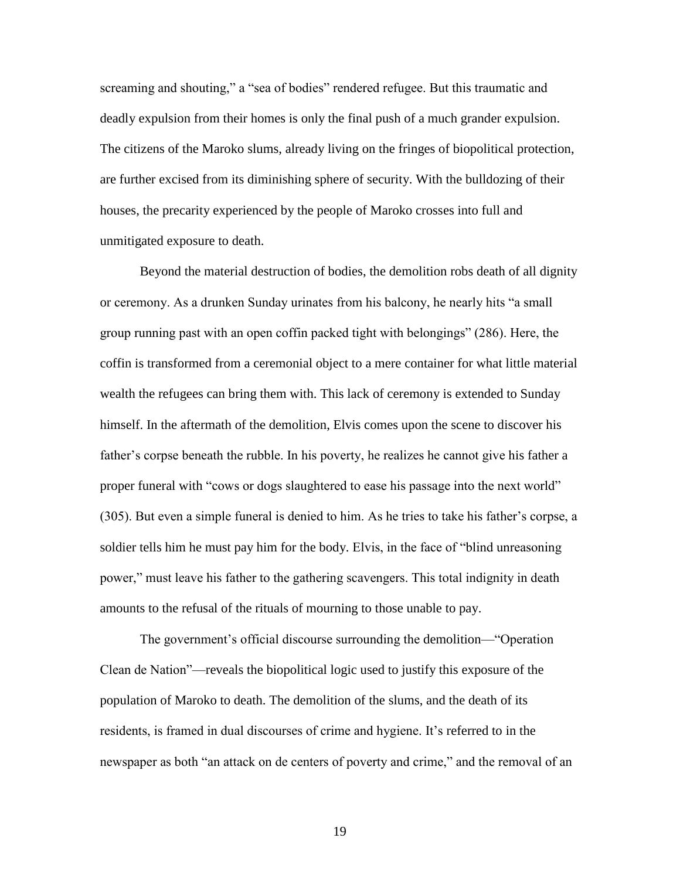screaming and shouting," a "sea of bodies" rendered refugee. But this traumatic and deadly expulsion from their homes is only the final push of a much grander expulsion. The citizens of the Maroko slums, already living on the fringes of biopolitical protection, are further excised from its diminishing sphere of security. With the bulldozing of their houses, the precarity experienced by the people of Maroko crosses into full and unmitigated exposure to death.

Beyond the material destruction of bodies, the demolition robs death of all dignity or ceremony. As a drunken Sunday urinates from his balcony, he nearly hits "a small group running past with an open coffin packed tight with belongings" (286). Here, the coffin is transformed from a ceremonial object to a mere container for what little material wealth the refugees can bring them with. This lack of ceremony is extended to Sunday himself. In the aftermath of the demolition, Elvis comes upon the scene to discover his father's corpse beneath the rubble. In his poverty, he realizes he cannot give his father a proper funeral with "cows or dogs slaughtered to ease his passage into the next world" (305). But even a simple funeral is denied to him. As he tries to take his father's corpse, a soldier tells him he must pay him for the body. Elvis, in the face of "blind unreasoning power," must leave his father to the gathering scavengers. This total indignity in death amounts to the refusal of the rituals of mourning to those unable to pay.

The government's official discourse surrounding the demolition—"Operation Clean de Nation"—reveals the biopolitical logic used to justify this exposure of the population of Maroko to death. The demolition of the slums, and the death of its residents, is framed in dual discourses of crime and hygiene. It's referred to in the newspaper as both "an attack on de centers of poverty and crime," and the removal of an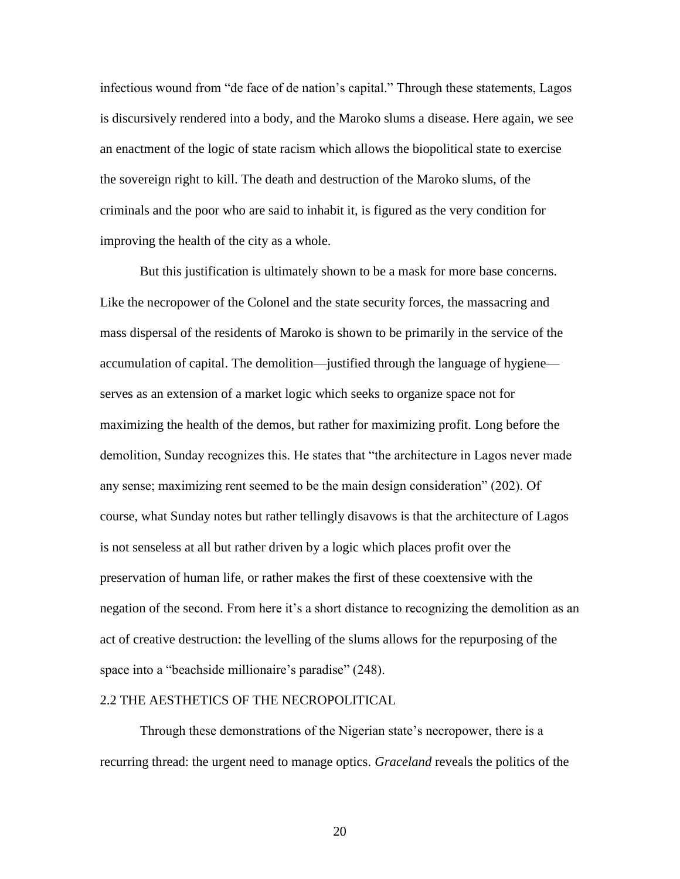infectious wound from "de face of de nation's capital." Through these statements, Lagos is discursively rendered into a body, and the Maroko slums a disease. Here again, we see an enactment of the logic of state racism which allows the biopolitical state to exercise the sovereign right to kill. The death and destruction of the Maroko slums, of the criminals and the poor who are said to inhabit it, is figured as the very condition for improving the health of the city as a whole.

But this justification is ultimately shown to be a mask for more base concerns. Like the necropower of the Colonel and the state security forces, the massacring and mass dispersal of the residents of Maroko is shown to be primarily in the service of the accumulation of capital. The demolition—justified through the language of hygiene serves as an extension of a market logic which seeks to organize space not for maximizing the health of the demos, but rather for maximizing profit. Long before the demolition, Sunday recognizes this. He states that "the architecture in Lagos never made any sense; maximizing rent seemed to be the main design consideration" (202). Of course, what Sunday notes but rather tellingly disavows is that the architecture of Lagos is not senseless at all but rather driven by a logic which places profit over the preservation of human life, or rather makes the first of these coextensive with the negation of the second. From here it's a short distance to recognizing the demolition as an act of creative destruction: the levelling of the slums allows for the repurposing of the space into a "beachside millionaire's paradise" (248).

#### 2.2 THE AESTHETICS OF THE NECROPOLITICAL

Through these demonstrations of the Nigerian state's necropower, there is a recurring thread: the urgent need to manage optics. *Graceland* reveals the politics of the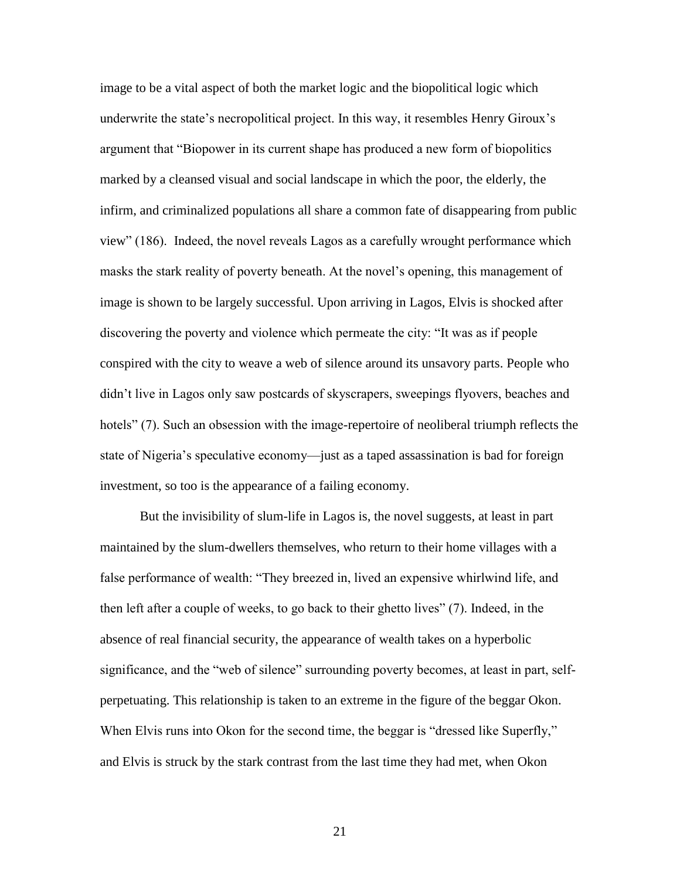image to be a vital aspect of both the market logic and the biopolitical logic which underwrite the state's necropolitical project. In this way, it resembles Henry Giroux's argument that "Biopower in its current shape has produced a new form of biopolitics marked by a cleansed visual and social landscape in which the poor, the elderly, the infirm, and criminalized populations all share a common fate of disappearing from public view" (186). Indeed, the novel reveals Lagos as a carefully wrought performance which masks the stark reality of poverty beneath. At the novel's opening, this management of image is shown to be largely successful. Upon arriving in Lagos, Elvis is shocked after discovering the poverty and violence which permeate the city: "It was as if people conspired with the city to weave a web of silence around its unsavory parts. People who didn't live in Lagos only saw postcards of skyscrapers, sweepings flyovers, beaches and hotels" (7). Such an obsession with the image-repertoire of neoliberal triumph reflects the state of Nigeria's speculative economy—just as a taped assassination is bad for foreign investment, so too is the appearance of a failing economy.

But the invisibility of slum-life in Lagos is, the novel suggests, at least in part maintained by the slum-dwellers themselves, who return to their home villages with a false performance of wealth: "They breezed in, lived an expensive whirlwind life, and then left after a couple of weeks, to go back to their ghetto lives" (7). Indeed, in the absence of real financial security, the appearance of wealth takes on a hyperbolic significance, and the "web of silence" surrounding poverty becomes, at least in part, selfperpetuating. This relationship is taken to an extreme in the figure of the beggar Okon. When Elvis runs into Okon for the second time, the beggar is "dressed like Superfly," and Elvis is struck by the stark contrast from the last time they had met, when Okon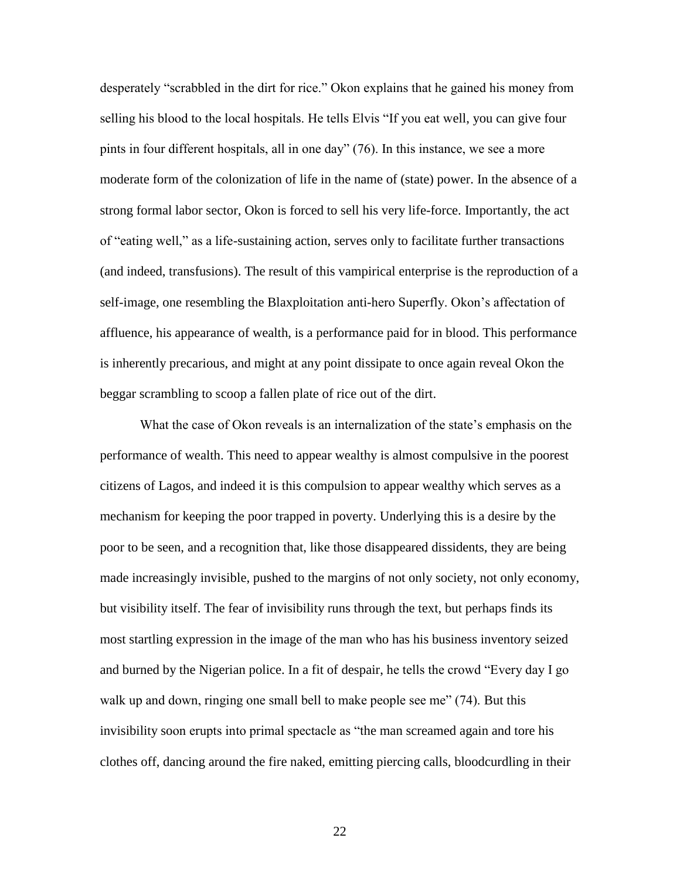desperately "scrabbled in the dirt for rice." Okon explains that he gained his money from selling his blood to the local hospitals. He tells Elvis "If you eat well, you can give four pints in four different hospitals, all in one day" (76). In this instance, we see a more moderate form of the colonization of life in the name of (state) power. In the absence of a strong formal labor sector, Okon is forced to sell his very life-force. Importantly, the act of "eating well," as a life-sustaining action, serves only to facilitate further transactions (and indeed, transfusions). The result of this vampirical enterprise is the reproduction of a self-image, one resembling the Blaxploitation anti-hero Superfly. Okon's affectation of affluence, his appearance of wealth, is a performance paid for in blood. This performance is inherently precarious, and might at any point dissipate to once again reveal Okon the beggar scrambling to scoop a fallen plate of rice out of the dirt.

What the case of Okon reveals is an internalization of the state's emphasis on the performance of wealth. This need to appear wealthy is almost compulsive in the poorest citizens of Lagos, and indeed it is this compulsion to appear wealthy which serves as a mechanism for keeping the poor trapped in poverty. Underlying this is a desire by the poor to be seen, and a recognition that, like those disappeared dissidents, they are being made increasingly invisible, pushed to the margins of not only society, not only economy, but visibility itself. The fear of invisibility runs through the text, but perhaps finds its most startling expression in the image of the man who has his business inventory seized and burned by the Nigerian police. In a fit of despair, he tells the crowd "Every day I go walk up and down, ringing one small bell to make people see me" (74). But this invisibility soon erupts into primal spectacle as "the man screamed again and tore his clothes off, dancing around the fire naked, emitting piercing calls, bloodcurdling in their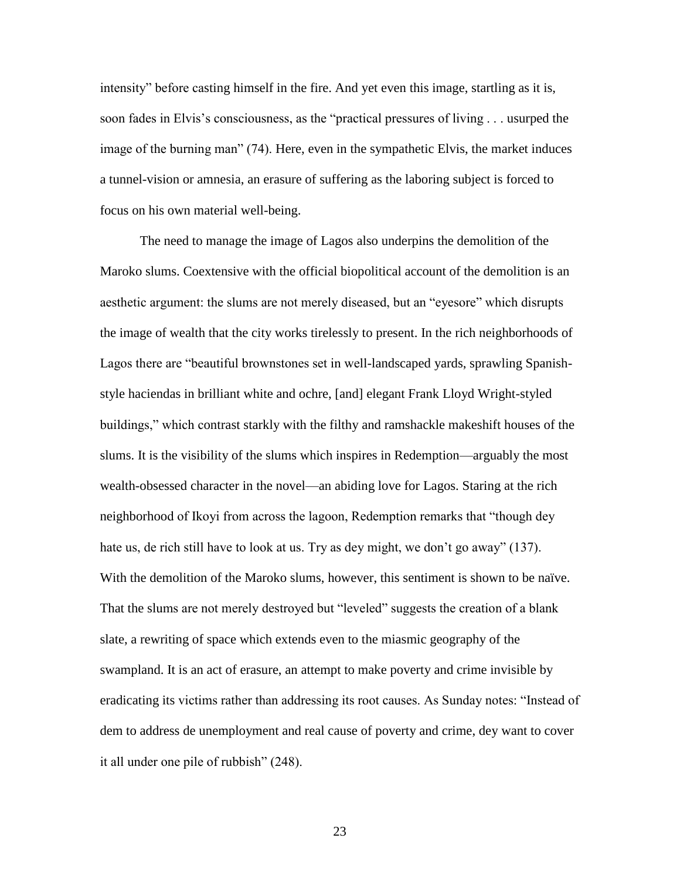intensity" before casting himself in the fire. And yet even this image, startling as it is, soon fades in Elvis's consciousness, as the "practical pressures of living . . . usurped the image of the burning man" (74). Here, even in the sympathetic Elvis, the market induces a tunnel-vision or amnesia, an erasure of suffering as the laboring subject is forced to focus on his own material well-being.

The need to manage the image of Lagos also underpins the demolition of the Maroko slums. Coextensive with the official biopolitical account of the demolition is an aesthetic argument: the slums are not merely diseased, but an "eyesore" which disrupts the image of wealth that the city works tirelessly to present. In the rich neighborhoods of Lagos there are "beautiful brownstones set in well-landscaped yards, sprawling Spanishstyle haciendas in brilliant white and ochre, [and] elegant Frank Lloyd Wright-styled buildings," which contrast starkly with the filthy and ramshackle makeshift houses of the slums. It is the visibility of the slums which inspires in Redemption—arguably the most wealth-obsessed character in the novel—an abiding love for Lagos. Staring at the rich neighborhood of Ikoyi from across the lagoon, Redemption remarks that "though dey hate us, de rich still have to look at us. Try as dey might, we don't go away" (137). With the demolition of the Maroko slums, however, this sentiment is shown to be naïve. That the slums are not merely destroyed but "leveled" suggests the creation of a blank slate, a rewriting of space which extends even to the miasmic geography of the swampland. It is an act of erasure, an attempt to make poverty and crime invisible by eradicating its victims rather than addressing its root causes. As Sunday notes: "Instead of dem to address de unemployment and real cause of poverty and crime, dey want to cover it all under one pile of rubbish" (248).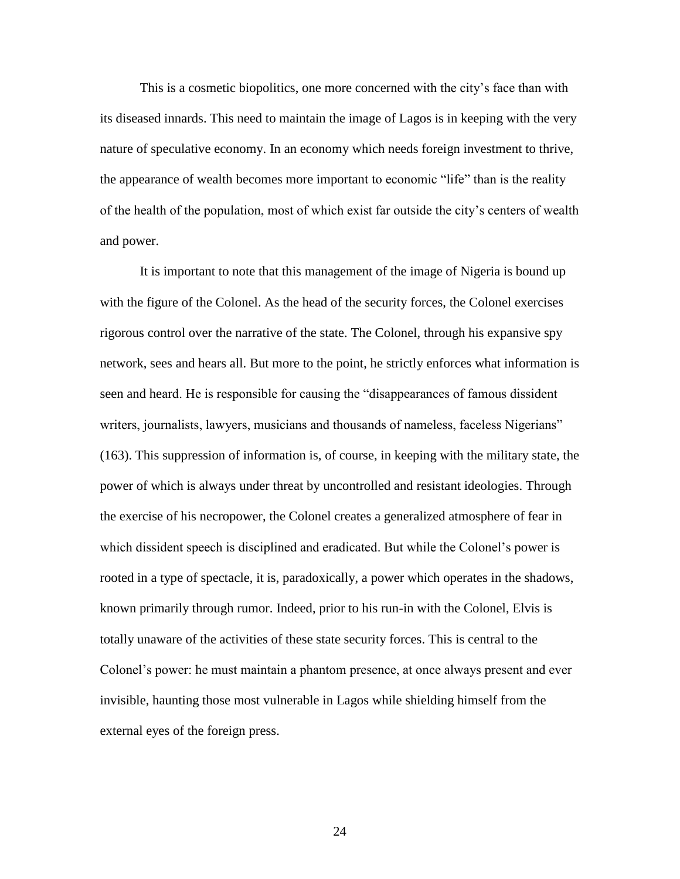This is a cosmetic biopolitics, one more concerned with the city's face than with its diseased innards. This need to maintain the image of Lagos is in keeping with the very nature of speculative economy. In an economy which needs foreign investment to thrive, the appearance of wealth becomes more important to economic "life" than is the reality of the health of the population, most of which exist far outside the city's centers of wealth and power.

It is important to note that this management of the image of Nigeria is bound up with the figure of the Colonel. As the head of the security forces, the Colonel exercises rigorous control over the narrative of the state. The Colonel, through his expansive spy network, sees and hears all. But more to the point, he strictly enforces what information is seen and heard. He is responsible for causing the "disappearances of famous dissident writers, journalists, lawyers, musicians and thousands of nameless, faceless Nigerians" (163). This suppression of information is, of course, in keeping with the military state, the power of which is always under threat by uncontrolled and resistant ideologies. Through the exercise of his necropower, the Colonel creates a generalized atmosphere of fear in which dissident speech is disciplined and eradicated. But while the Colonel's power is rooted in a type of spectacle, it is, paradoxically, a power which operates in the shadows, known primarily through rumor. Indeed, prior to his run-in with the Colonel, Elvis is totally unaware of the activities of these state security forces. This is central to the Colonel's power: he must maintain a phantom presence, at once always present and ever invisible, haunting those most vulnerable in Lagos while shielding himself from the external eyes of the foreign press.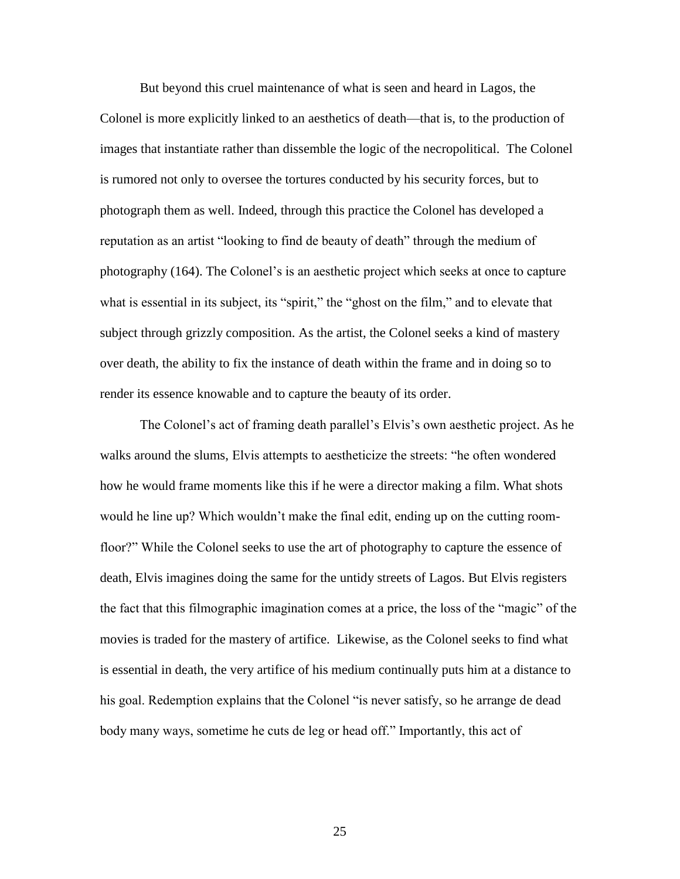But beyond this cruel maintenance of what is seen and heard in Lagos, the Colonel is more explicitly linked to an aesthetics of death—that is, to the production of images that instantiate rather than dissemble the logic of the necropolitical. The Colonel is rumored not only to oversee the tortures conducted by his security forces, but to photograph them as well. Indeed, through this practice the Colonel has developed a reputation as an artist "looking to find de beauty of death" through the medium of photography (164). The Colonel's is an aesthetic project which seeks at once to capture what is essential in its subject, its "spirit," the "ghost on the film," and to elevate that subject through grizzly composition. As the artist, the Colonel seeks a kind of mastery over death, the ability to fix the instance of death within the frame and in doing so to render its essence knowable and to capture the beauty of its order.

The Colonel's act of framing death parallel's Elvis's own aesthetic project. As he walks around the slums, Elvis attempts to aestheticize the streets: "he often wondered how he would frame moments like this if he were a director making a film. What shots would he line up? Which wouldn't make the final edit, ending up on the cutting roomfloor?" While the Colonel seeks to use the art of photography to capture the essence of death, Elvis imagines doing the same for the untidy streets of Lagos. But Elvis registers the fact that this filmographic imagination comes at a price, the loss of the "magic" of the movies is traded for the mastery of artifice. Likewise, as the Colonel seeks to find what is essential in death, the very artifice of his medium continually puts him at a distance to his goal. Redemption explains that the Colonel "is never satisfy, so he arrange de dead body many ways, sometime he cuts de leg or head off." Importantly, this act of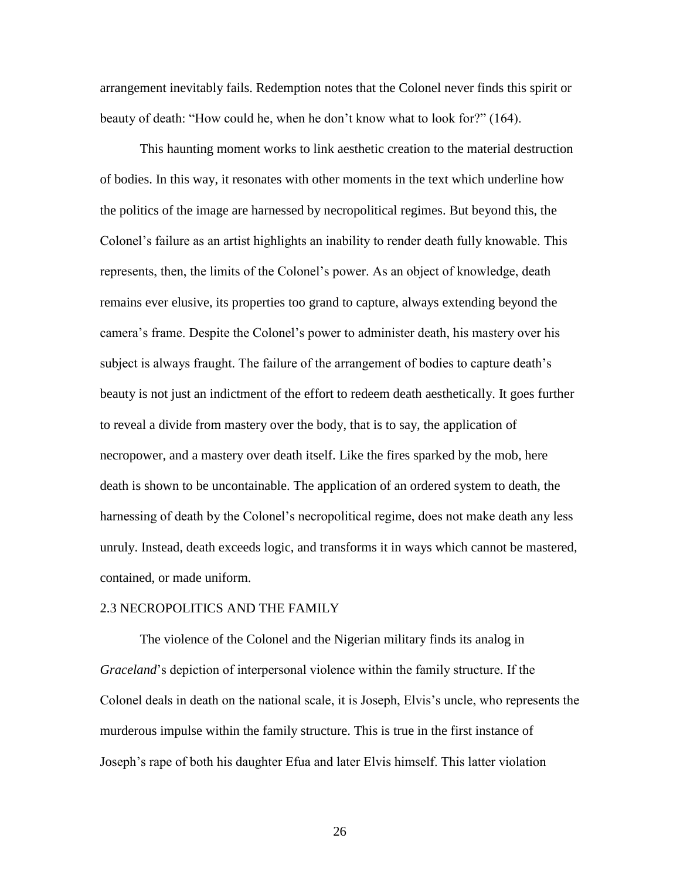arrangement inevitably fails. Redemption notes that the Colonel never finds this spirit or beauty of death: "How could he, when he don't know what to look for?" (164).

This haunting moment works to link aesthetic creation to the material destruction of bodies. In this way, it resonates with other moments in the text which underline how the politics of the image are harnessed by necropolitical regimes. But beyond this, the Colonel's failure as an artist highlights an inability to render death fully knowable. This represents, then, the limits of the Colonel's power. As an object of knowledge, death remains ever elusive, its properties too grand to capture, always extending beyond the camera's frame. Despite the Colonel's power to administer death, his mastery over his subject is always fraught. The failure of the arrangement of bodies to capture death's beauty is not just an indictment of the effort to redeem death aesthetically. It goes further to reveal a divide from mastery over the body, that is to say, the application of necropower, and a mastery over death itself. Like the fires sparked by the mob, here death is shown to be uncontainable. The application of an ordered system to death, the harnessing of death by the Colonel's necropolitical regime, does not make death any less unruly. Instead, death exceeds logic, and transforms it in ways which cannot be mastered, contained, or made uniform.

#### 2.3 NECROPOLITICS AND THE FAMILY

The violence of the Colonel and the Nigerian military finds its analog in *Graceland*'s depiction of interpersonal violence within the family structure. If the Colonel deals in death on the national scale, it is Joseph, Elvis's uncle, who represents the murderous impulse within the family structure. This is true in the first instance of Joseph's rape of both his daughter Efua and later Elvis himself. This latter violation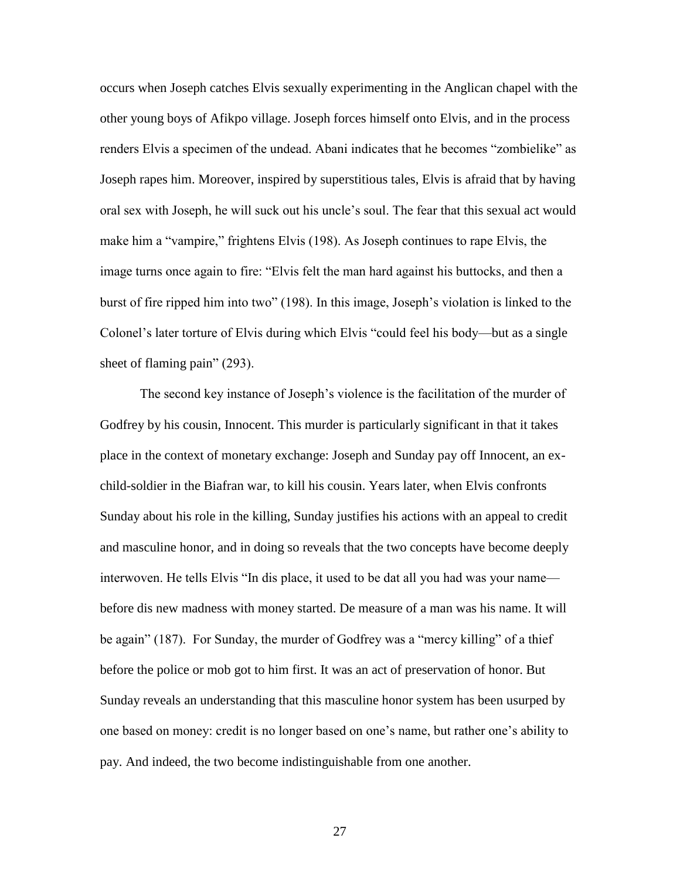occurs when Joseph catches Elvis sexually experimenting in the Anglican chapel with the other young boys of Afikpo village. Joseph forces himself onto Elvis, and in the process renders Elvis a specimen of the undead. Abani indicates that he becomes "zombielike" as Joseph rapes him. Moreover, inspired by superstitious tales, Elvis is afraid that by having oral sex with Joseph, he will suck out his uncle's soul. The fear that this sexual act would make him a "vampire," frightens Elvis (198). As Joseph continues to rape Elvis, the image turns once again to fire: "Elvis felt the man hard against his buttocks, and then a burst of fire ripped him into two" (198). In this image, Joseph's violation is linked to the Colonel's later torture of Elvis during which Elvis "could feel his body—but as a single sheet of flaming pain" (293).

The second key instance of Joseph's violence is the facilitation of the murder of Godfrey by his cousin, Innocent. This murder is particularly significant in that it takes place in the context of monetary exchange: Joseph and Sunday pay off Innocent, an exchild-soldier in the Biafran war, to kill his cousin. Years later, when Elvis confronts Sunday about his role in the killing, Sunday justifies his actions with an appeal to credit and masculine honor, and in doing so reveals that the two concepts have become deeply interwoven. He tells Elvis "In dis place, it used to be dat all you had was your name before dis new madness with money started. De measure of a man was his name. It will be again" (187). For Sunday, the murder of Godfrey was a "mercy killing" of a thief before the police or mob got to him first. It was an act of preservation of honor. But Sunday reveals an understanding that this masculine honor system has been usurped by one based on money: credit is no longer based on one's name, but rather one's ability to pay. And indeed, the two become indistinguishable from one another.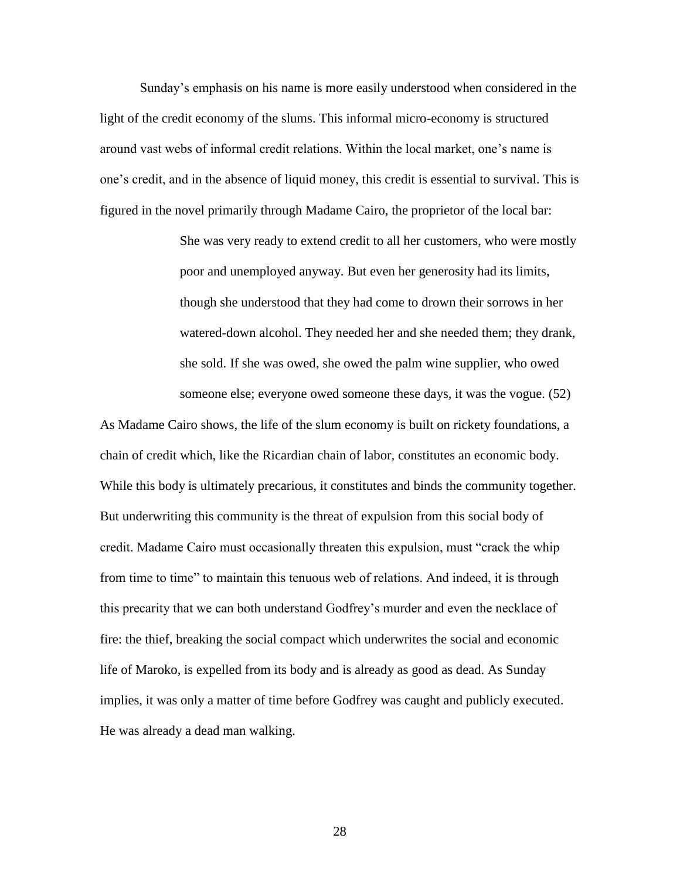Sunday's emphasis on his name is more easily understood when considered in the light of the credit economy of the slums. This informal micro-economy is structured around vast webs of informal credit relations. Within the local market, one's name is one's credit, and in the absence of liquid money, this credit is essential to survival. This is figured in the novel primarily through Madame Cairo, the proprietor of the local bar:

> She was very ready to extend credit to all her customers, who were mostly poor and unemployed anyway. But even her generosity had its limits, though she understood that they had come to drown their sorrows in her watered-down alcohol. They needed her and she needed them; they drank, she sold. If she was owed, she owed the palm wine supplier, who owed someone else; everyone owed someone these days, it was the vogue. (52)

As Madame Cairo shows, the life of the slum economy is built on rickety foundations, a chain of credit which, like the Ricardian chain of labor, constitutes an economic body. While this body is ultimately precarious, it constitutes and binds the community together. But underwriting this community is the threat of expulsion from this social body of credit. Madame Cairo must occasionally threaten this expulsion, must "crack the whip from time to time" to maintain this tenuous web of relations. And indeed, it is through this precarity that we can both understand Godfrey's murder and even the necklace of fire: the thief, breaking the social compact which underwrites the social and economic life of Maroko, is expelled from its body and is already as good as dead. As Sunday implies, it was only a matter of time before Godfrey was caught and publicly executed. He was already a dead man walking.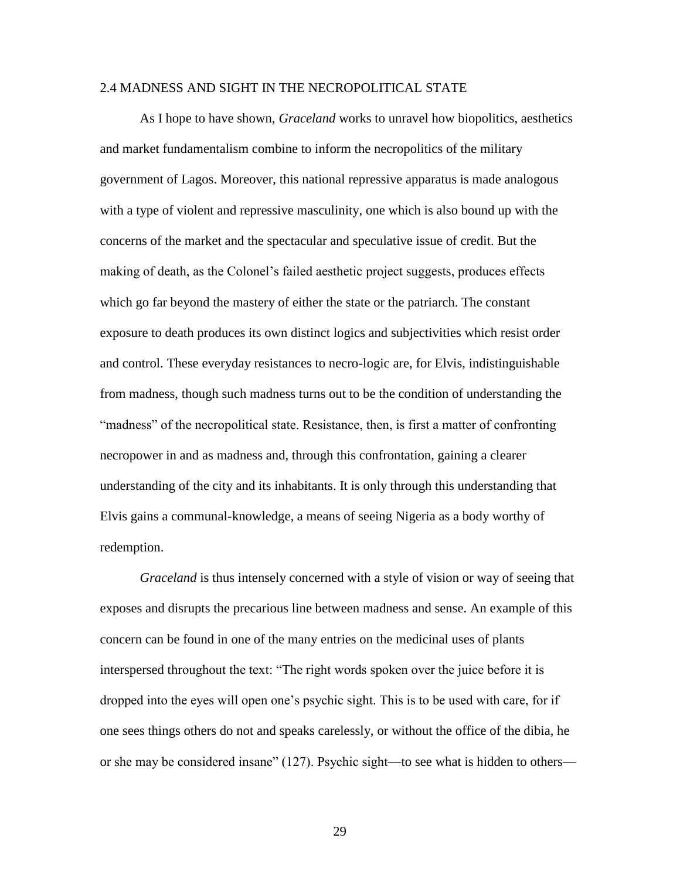#### 2.4 MADNESS AND SIGHT IN THE NECROPOLITICAL STATE

As I hope to have shown, *Graceland* works to unravel how biopolitics, aesthetics and market fundamentalism combine to inform the necropolitics of the military government of Lagos. Moreover, this national repressive apparatus is made analogous with a type of violent and repressive masculinity, one which is also bound up with the concerns of the market and the spectacular and speculative issue of credit. But the making of death, as the Colonel's failed aesthetic project suggests, produces effects which go far beyond the mastery of either the state or the patriarch. The constant exposure to death produces its own distinct logics and subjectivities which resist order and control. These everyday resistances to necro-logic are, for Elvis, indistinguishable from madness, though such madness turns out to be the condition of understanding the "madness" of the necropolitical state. Resistance, then, is first a matter of confronting necropower in and as madness and, through this confrontation, gaining a clearer understanding of the city and its inhabitants. It is only through this understanding that Elvis gains a communal-knowledge, a means of seeing Nigeria as a body worthy of redemption.

*Graceland* is thus intensely concerned with a style of vision or way of seeing that exposes and disrupts the precarious line between madness and sense. An example of this concern can be found in one of the many entries on the medicinal uses of plants interspersed throughout the text: "The right words spoken over the juice before it is dropped into the eyes will open one's psychic sight. This is to be used with care, for if one sees things others do not and speaks carelessly, or without the office of the dibia, he or she may be considered insane" (127). Psychic sight—to see what is hidden to others—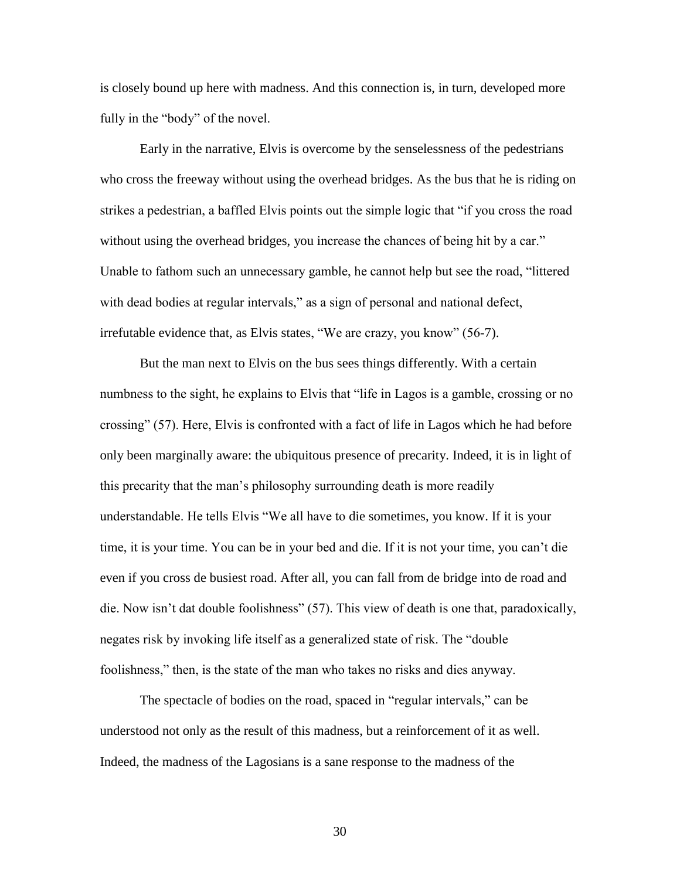is closely bound up here with madness. And this connection is, in turn, developed more fully in the "body" of the novel.

Early in the narrative, Elvis is overcome by the senselessness of the pedestrians who cross the freeway without using the overhead bridges. As the bus that he is riding on strikes a pedestrian, a baffled Elvis points out the simple logic that "if you cross the road without using the overhead bridges, you increase the chances of being hit by a car." Unable to fathom such an unnecessary gamble, he cannot help but see the road, "littered with dead bodies at regular intervals," as a sign of personal and national defect, irrefutable evidence that, as Elvis states, "We are crazy, you know" (56-7).

But the man next to Elvis on the bus sees things differently. With a certain numbness to the sight, he explains to Elvis that "life in Lagos is a gamble, crossing or no crossing" (57). Here, Elvis is confronted with a fact of life in Lagos which he had before only been marginally aware: the ubiquitous presence of precarity. Indeed, it is in light of this precarity that the man's philosophy surrounding death is more readily understandable. He tells Elvis "We all have to die sometimes, you know. If it is your time, it is your time. You can be in your bed and die. If it is not your time, you can't die even if you cross de busiest road. After all, you can fall from de bridge into de road and die. Now isn't dat double foolishness" (57). This view of death is one that, paradoxically, negates risk by invoking life itself as a generalized state of risk. The "double foolishness," then, is the state of the man who takes no risks and dies anyway.

The spectacle of bodies on the road, spaced in "regular intervals," can be understood not only as the result of this madness, but a reinforcement of it as well. Indeed, the madness of the Lagosians is a sane response to the madness of the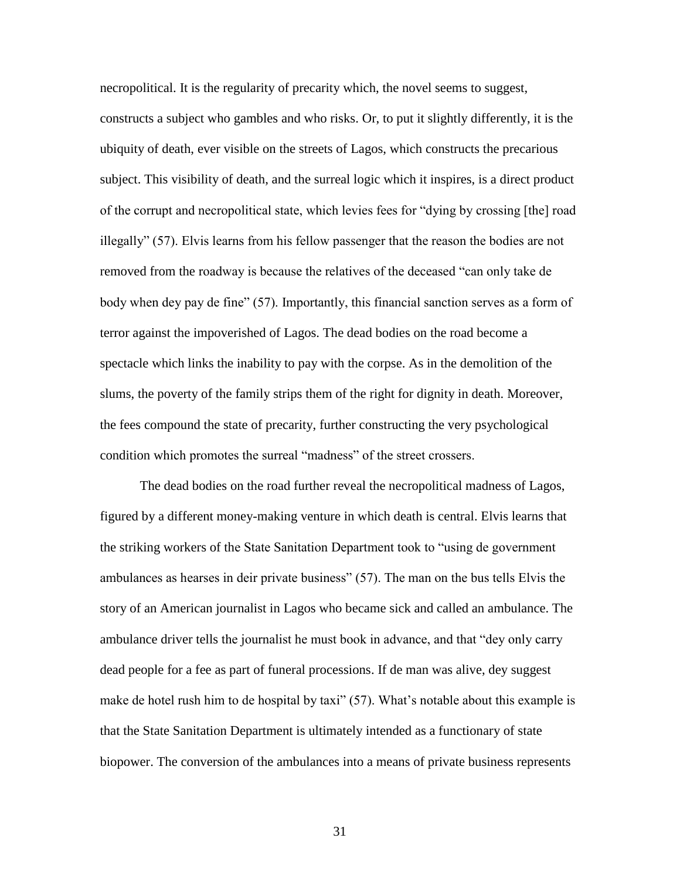necropolitical. It is the regularity of precarity which, the novel seems to suggest, constructs a subject who gambles and who risks. Or, to put it slightly differently, it is the ubiquity of death, ever visible on the streets of Lagos, which constructs the precarious subject. This visibility of death, and the surreal logic which it inspires, is a direct product of the corrupt and necropolitical state, which levies fees for "dying by crossing [the] road illegally" (57). Elvis learns from his fellow passenger that the reason the bodies are not removed from the roadway is because the relatives of the deceased "can only take de body when dey pay de fine" (57). Importantly, this financial sanction serves as a form of terror against the impoverished of Lagos. The dead bodies on the road become a spectacle which links the inability to pay with the corpse. As in the demolition of the slums, the poverty of the family strips them of the right for dignity in death. Moreover, the fees compound the state of precarity, further constructing the very psychological condition which promotes the surreal "madness" of the street crossers.

The dead bodies on the road further reveal the necropolitical madness of Lagos, figured by a different money-making venture in which death is central. Elvis learns that the striking workers of the State Sanitation Department took to "using de government ambulances as hearses in deir private business" (57). The man on the bus tells Elvis the story of an American journalist in Lagos who became sick and called an ambulance. The ambulance driver tells the journalist he must book in advance, and that "dey only carry dead people for a fee as part of funeral processions. If de man was alive, dey suggest make de hotel rush him to de hospital by taxi" (57). What's notable about this example is that the State Sanitation Department is ultimately intended as a functionary of state biopower. The conversion of the ambulances into a means of private business represents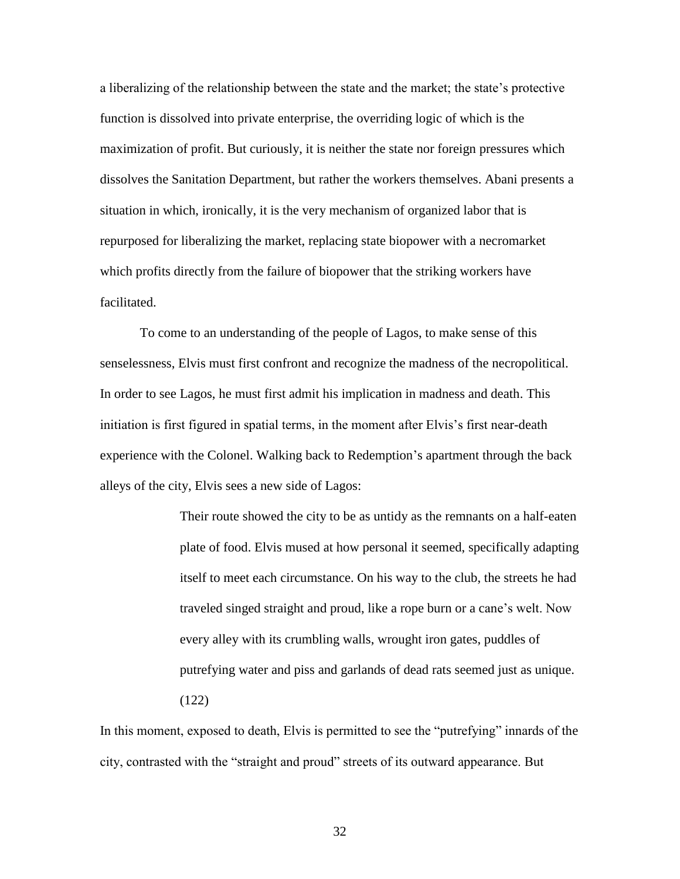a liberalizing of the relationship between the state and the market; the state's protective function is dissolved into private enterprise, the overriding logic of which is the maximization of profit. But curiously, it is neither the state nor foreign pressures which dissolves the Sanitation Department, but rather the workers themselves. Abani presents a situation in which, ironically, it is the very mechanism of organized labor that is repurposed for liberalizing the market, replacing state biopower with a necromarket which profits directly from the failure of biopower that the striking workers have facilitated.

To come to an understanding of the people of Lagos, to make sense of this senselessness, Elvis must first confront and recognize the madness of the necropolitical. In order to see Lagos, he must first admit his implication in madness and death. This initiation is first figured in spatial terms, in the moment after Elvis's first near-death experience with the Colonel. Walking back to Redemption's apartment through the back alleys of the city, Elvis sees a new side of Lagos:

> Their route showed the city to be as untidy as the remnants on a half-eaten plate of food. Elvis mused at how personal it seemed, specifically adapting itself to meet each circumstance. On his way to the club, the streets he had traveled singed straight and proud, like a rope burn or a cane's welt. Now every alley with its crumbling walls, wrought iron gates, puddles of putrefying water and piss and garlands of dead rats seemed just as unique. (122)

In this moment, exposed to death, Elvis is permitted to see the "putrefying" innards of the city, contrasted with the "straight and proud" streets of its outward appearance. But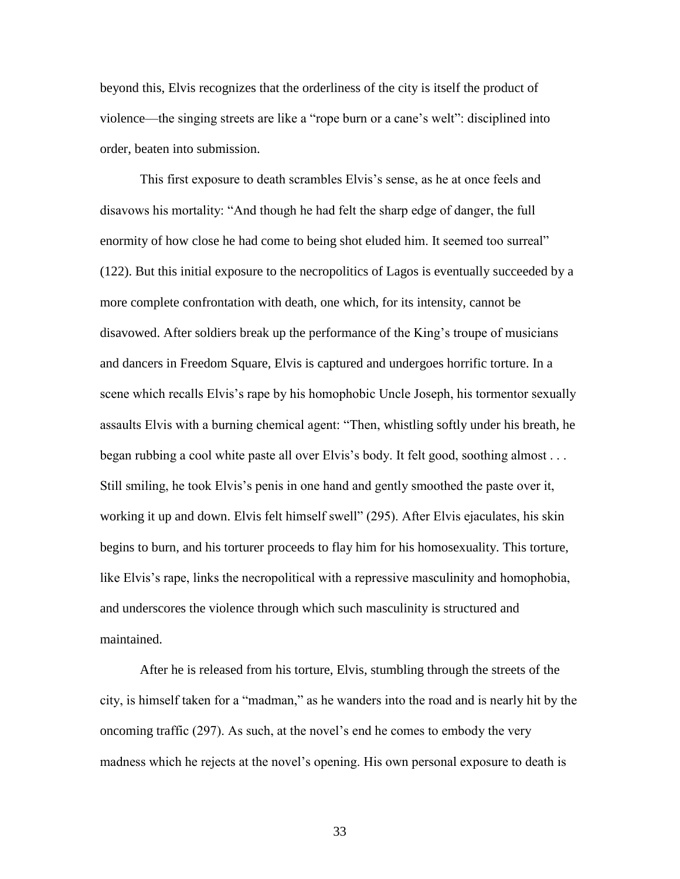beyond this, Elvis recognizes that the orderliness of the city is itself the product of violence—the singing streets are like a "rope burn or a cane's welt": disciplined into order, beaten into submission.

This first exposure to death scrambles Elvis's sense, as he at once feels and disavows his mortality: "And though he had felt the sharp edge of danger, the full enormity of how close he had come to being shot eluded him. It seemed too surreal" (122). But this initial exposure to the necropolitics of Lagos is eventually succeeded by a more complete confrontation with death, one which, for its intensity, cannot be disavowed. After soldiers break up the performance of the King's troupe of musicians and dancers in Freedom Square, Elvis is captured and undergoes horrific torture. In a scene which recalls Elvis's rape by his homophobic Uncle Joseph, his tormentor sexually assaults Elvis with a burning chemical agent: "Then, whistling softly under his breath, he began rubbing a cool white paste all over Elvis's body. It felt good, soothing almost . . . Still smiling, he took Elvis's penis in one hand and gently smoothed the paste over it, working it up and down. Elvis felt himself swell" (295). After Elvis ejaculates, his skin begins to burn, and his torturer proceeds to flay him for his homosexuality. This torture, like Elvis's rape, links the necropolitical with a repressive masculinity and homophobia, and underscores the violence through which such masculinity is structured and maintained.

After he is released from his torture, Elvis, stumbling through the streets of the city, is himself taken for a "madman," as he wanders into the road and is nearly hit by the oncoming traffic (297). As such, at the novel's end he comes to embody the very madness which he rejects at the novel's opening. His own personal exposure to death is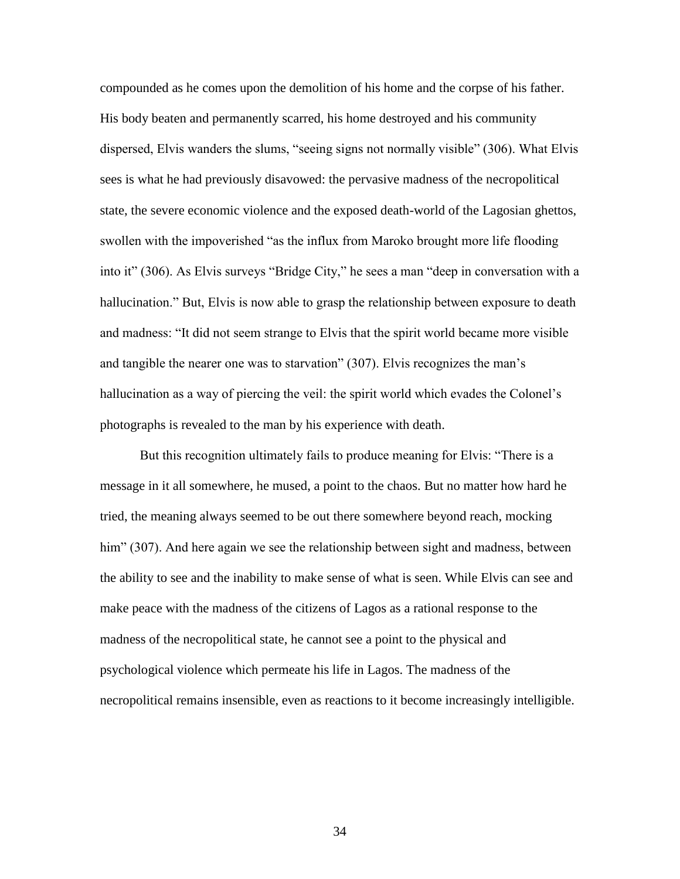compounded as he comes upon the demolition of his home and the corpse of his father. His body beaten and permanently scarred, his home destroyed and his community dispersed, Elvis wanders the slums, "seeing signs not normally visible" (306). What Elvis sees is what he had previously disavowed: the pervasive madness of the necropolitical state, the severe economic violence and the exposed death-world of the Lagosian ghettos, swollen with the impoverished "as the influx from Maroko brought more life flooding into it" (306). As Elvis surveys "Bridge City," he sees a man "deep in conversation with a hallucination." But, Elvis is now able to grasp the relationship between exposure to death and madness: "It did not seem strange to Elvis that the spirit world became more visible and tangible the nearer one was to starvation" (307). Elvis recognizes the man's hallucination as a way of piercing the veil: the spirit world which evades the Colonel's photographs is revealed to the man by his experience with death.

But this recognition ultimately fails to produce meaning for Elvis: "There is a message in it all somewhere, he mused, a point to the chaos. But no matter how hard he tried, the meaning always seemed to be out there somewhere beyond reach, mocking him" (307). And here again we see the relationship between sight and madness, between the ability to see and the inability to make sense of what is seen. While Elvis can see and make peace with the madness of the citizens of Lagos as a rational response to the madness of the necropolitical state, he cannot see a point to the physical and psychological violence which permeate his life in Lagos. The madness of the necropolitical remains insensible, even as reactions to it become increasingly intelligible.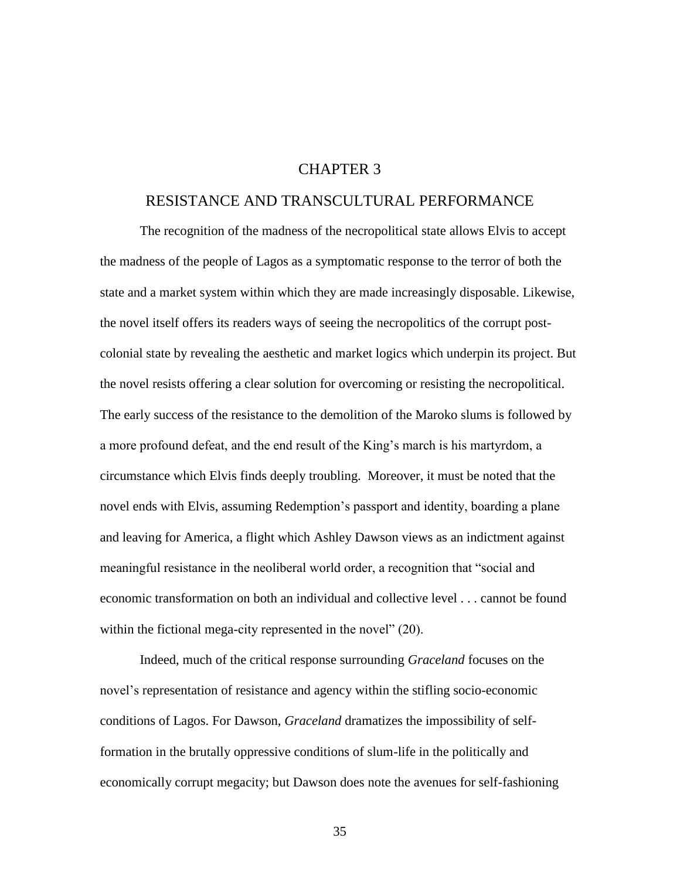## CHAPTER 3

#### RESISTANCE AND TRANSCULTURAL PERFORMANCE

The recognition of the madness of the necropolitical state allows Elvis to accept the madness of the people of Lagos as a symptomatic response to the terror of both the state and a market system within which they are made increasingly disposable. Likewise, the novel itself offers its readers ways of seeing the necropolitics of the corrupt postcolonial state by revealing the aesthetic and market logics which underpin its project. But the novel resists offering a clear solution for overcoming or resisting the necropolitical. The early success of the resistance to the demolition of the Maroko slums is followed by a more profound defeat, and the end result of the King's march is his martyrdom, a circumstance which Elvis finds deeply troubling. Moreover, it must be noted that the novel ends with Elvis, assuming Redemption's passport and identity, boarding a plane and leaving for America, a flight which Ashley Dawson views as an indictment against meaningful resistance in the neoliberal world order, a recognition that "social and economic transformation on both an individual and collective level . . . cannot be found within the fictional mega-city represented in the novel" (20).

Indeed, much of the critical response surrounding *Graceland* focuses on the novel's representation of resistance and agency within the stifling socio-economic conditions of Lagos. For Dawson, *Graceland* dramatizes the impossibility of selfformation in the brutally oppressive conditions of slum-life in the politically and economically corrupt megacity; but Dawson does note the avenues for self-fashioning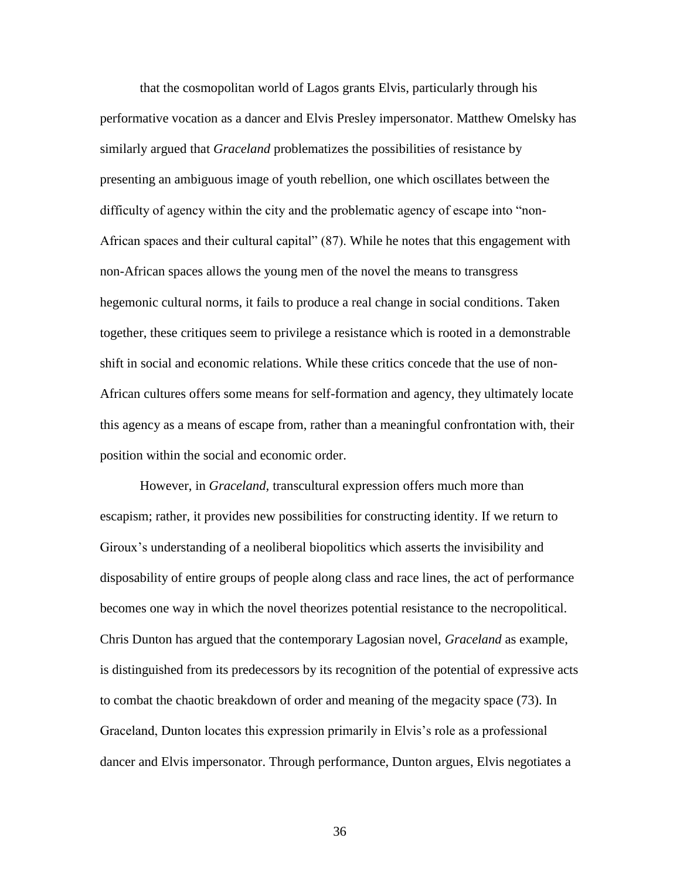that the cosmopolitan world of Lagos grants Elvis, particularly through his performative vocation as a dancer and Elvis Presley impersonator. Matthew Omelsky has similarly argued that *Graceland* problematizes the possibilities of resistance by presenting an ambiguous image of youth rebellion, one which oscillates between the difficulty of agency within the city and the problematic agency of escape into "non-African spaces and their cultural capital" (87). While he notes that this engagement with non-African spaces allows the young men of the novel the means to transgress hegemonic cultural norms, it fails to produce a real change in social conditions. Taken together, these critiques seem to privilege a resistance which is rooted in a demonstrable shift in social and economic relations. While these critics concede that the use of non-African cultures offers some means for self-formation and agency, they ultimately locate this agency as a means of escape from, rather than a meaningful confrontation with, their position within the social and economic order.

However, in *Graceland,* transcultural expression offers much more than escapism; rather, it provides new possibilities for constructing identity. If we return to Giroux's understanding of a neoliberal biopolitics which asserts the invisibility and disposability of entire groups of people along class and race lines, the act of performance becomes one way in which the novel theorizes potential resistance to the necropolitical. Chris Dunton has argued that the contemporary Lagosian novel, *Graceland* as example, is distinguished from its predecessors by its recognition of the potential of expressive acts to combat the chaotic breakdown of order and meaning of the megacity space (73). In Graceland, Dunton locates this expression primarily in Elvis's role as a professional dancer and Elvis impersonator. Through performance, Dunton argues, Elvis negotiates a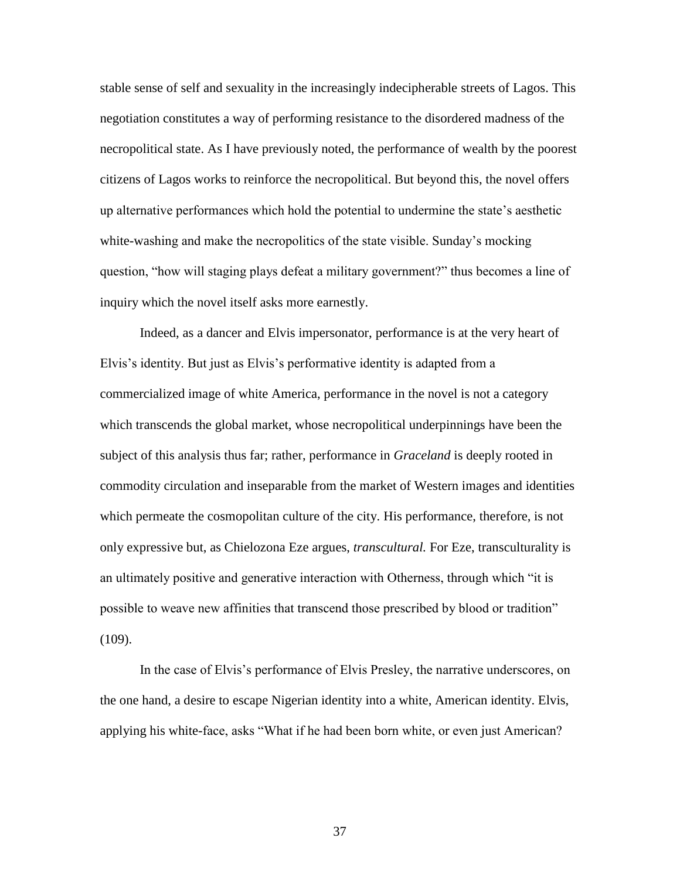stable sense of self and sexuality in the increasingly indecipherable streets of Lagos. This negotiation constitutes a way of performing resistance to the disordered madness of the necropolitical state. As I have previously noted, the performance of wealth by the poorest citizens of Lagos works to reinforce the necropolitical. But beyond this, the novel offers up alternative performances which hold the potential to undermine the state's aesthetic white-washing and make the necropolitics of the state visible. Sunday's mocking question, "how will staging plays defeat a military government?" thus becomes a line of inquiry which the novel itself asks more earnestly.

Indeed, as a dancer and Elvis impersonator, performance is at the very heart of Elvis's identity. But just as Elvis's performative identity is adapted from a commercialized image of white America, performance in the novel is not a category which transcends the global market, whose necropolitical underpinnings have been the subject of this analysis thus far; rather, performance in *Graceland* is deeply rooted in commodity circulation and inseparable from the market of Western images and identities which permeate the cosmopolitan culture of the city. His performance, therefore, is not only expressive but, as Chielozona Eze argues, *transcultural.* For Eze, transculturality is an ultimately positive and generative interaction with Otherness, through which "it is possible to weave new affinities that transcend those prescribed by blood or tradition" (109).

In the case of Elvis's performance of Elvis Presley, the narrative underscores, on the one hand, a desire to escape Nigerian identity into a white, American identity. Elvis, applying his white-face, asks "What if he had been born white, or even just American?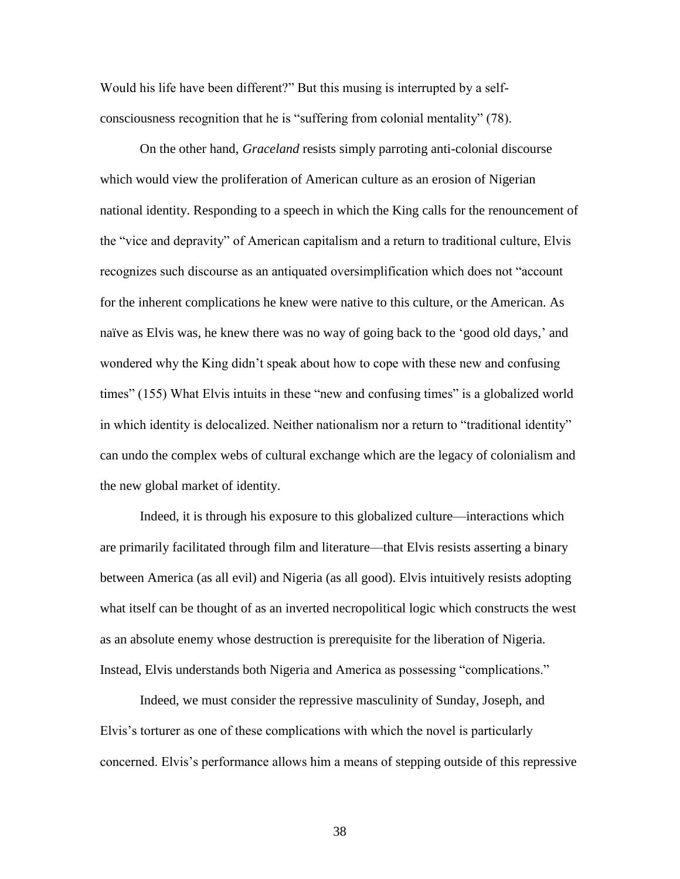Would his life have been different?" But this musing is interrupted by a selfconsciousness recognition that he is "suffering from colonial mentality" (78).

On the other hand, *Graceland* resists simply parroting anti-colonial discourse which would view the proliferation of American culture as an erosion of Nigerian national identity. Responding to a speech in which the King calls for the renouncement of the "vice and depravity" of American capitalism and a return to traditional culture, Elvis recognizes such discourse as an antiquated oversimplification which does not "account for the inherent complications he knew were native to this culture, or the American. As naïve as Elvis was, he knew there was no way of going back to the 'good old days,' and wondered why the King didn't speak about how to cope with these new and confusing times" (155) What Elvis intuits in these "new and confusing times" is a globalized world in which identity is delocalized. Neither nationalism nor a return to "traditional identity" can undo the complex webs of cultural exchange which are the legacy of colonialism and the new global market of identity.

Indeed, it is through his exposure to this globalized culture—interactions which are primarily facilitated through film and literature—that Elvis resists asserting a binary between America (as all evil) and Nigeria (as all good). Elvis intuitively resists adopting what itself can be thought of as an inverted necropolitical logic which constructs the west as an absolute enemy whose destruction is prerequisite for the liberation of Nigeria. Instead, Elvis understands both Nigeria and America as possessing "complications."

Indeed, we must consider the repressive masculinity of Sunday, Joseph, and Elvis's torturer as one of these complications with which the novel is particularly concerned. Elvis's performance allows him a means of stepping outside of this repressive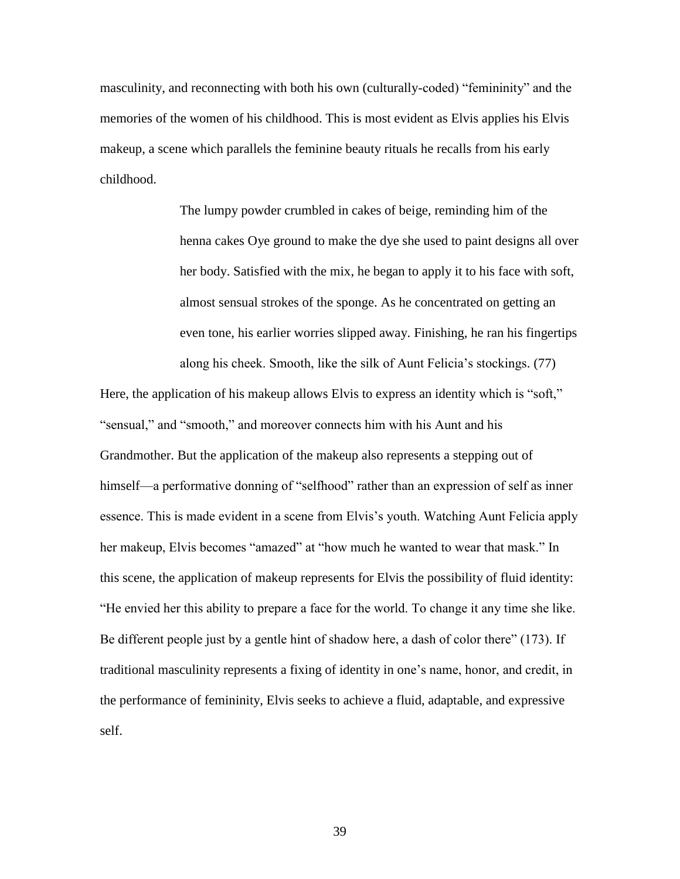masculinity, and reconnecting with both his own (culturally-coded) "femininity" and the memories of the women of his childhood. This is most evident as Elvis applies his Elvis makeup, a scene which parallels the feminine beauty rituals he recalls from his early childhood.

> The lumpy powder crumbled in cakes of beige, reminding him of the henna cakes Oye ground to make the dye she used to paint designs all over her body. Satisfied with the mix, he began to apply it to his face with soft, almost sensual strokes of the sponge. As he concentrated on getting an even tone, his earlier worries slipped away. Finishing, he ran his fingertips along his cheek. Smooth, like the silk of Aunt Felicia's stockings. (77)

Here, the application of his makeup allows Elvis to express an identity which is "soft," "sensual," and "smooth," and moreover connects him with his Aunt and his Grandmother. But the application of the makeup also represents a stepping out of himself—a performative donning of "selfhood" rather than an expression of self as inner essence. This is made evident in a scene from Elvis's youth. Watching Aunt Felicia apply her makeup, Elvis becomes "amazed" at "how much he wanted to wear that mask." In this scene, the application of makeup represents for Elvis the possibility of fluid identity: "He envied her this ability to prepare a face for the world. To change it any time she like. Be different people just by a gentle hint of shadow here, a dash of color there" (173). If traditional masculinity represents a fixing of identity in one's name, honor, and credit, in the performance of femininity, Elvis seeks to achieve a fluid, adaptable, and expressive self.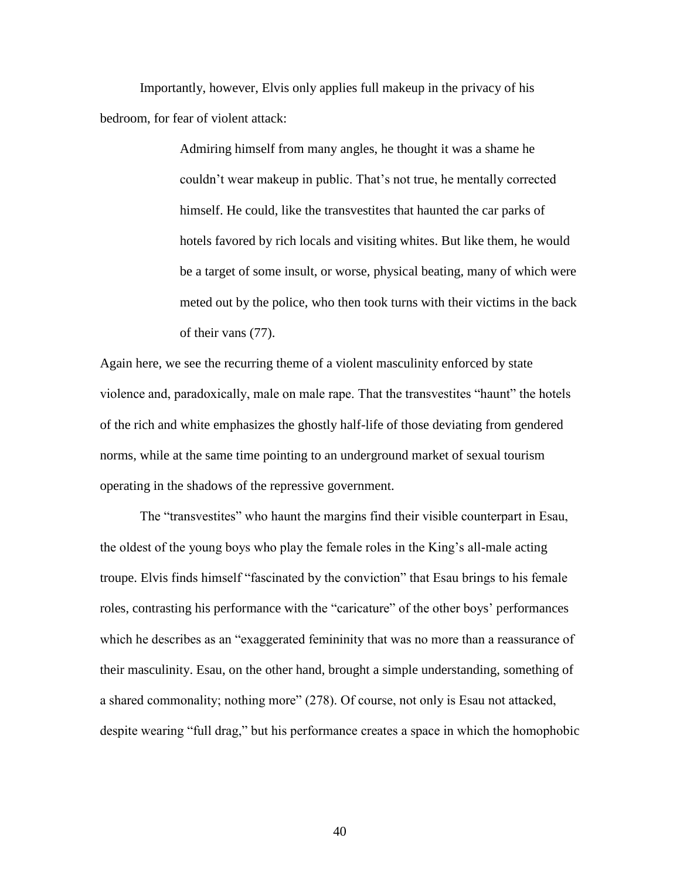Importantly, however, Elvis only applies full makeup in the privacy of his bedroom, for fear of violent attack:

> Admiring himself from many angles, he thought it was a shame he couldn't wear makeup in public. That's not true, he mentally corrected himself. He could, like the transvestites that haunted the car parks of hotels favored by rich locals and visiting whites. But like them, he would be a target of some insult, or worse, physical beating, many of which were meted out by the police, who then took turns with their victims in the back of their vans (77).

Again here, we see the recurring theme of a violent masculinity enforced by state violence and, paradoxically, male on male rape. That the transvestites "haunt" the hotels of the rich and white emphasizes the ghostly half-life of those deviating from gendered norms, while at the same time pointing to an underground market of sexual tourism operating in the shadows of the repressive government.

The "transvestites" who haunt the margins find their visible counterpart in Esau, the oldest of the young boys who play the female roles in the King's all-male acting troupe. Elvis finds himself "fascinated by the conviction" that Esau brings to his female roles, contrasting his performance with the "caricature" of the other boys' performances which he describes as an "exaggerated femininity that was no more than a reassurance of their masculinity. Esau, on the other hand, brought a simple understanding, something of a shared commonality; nothing more" (278). Of course, not only is Esau not attacked, despite wearing "full drag," but his performance creates a space in which the homophobic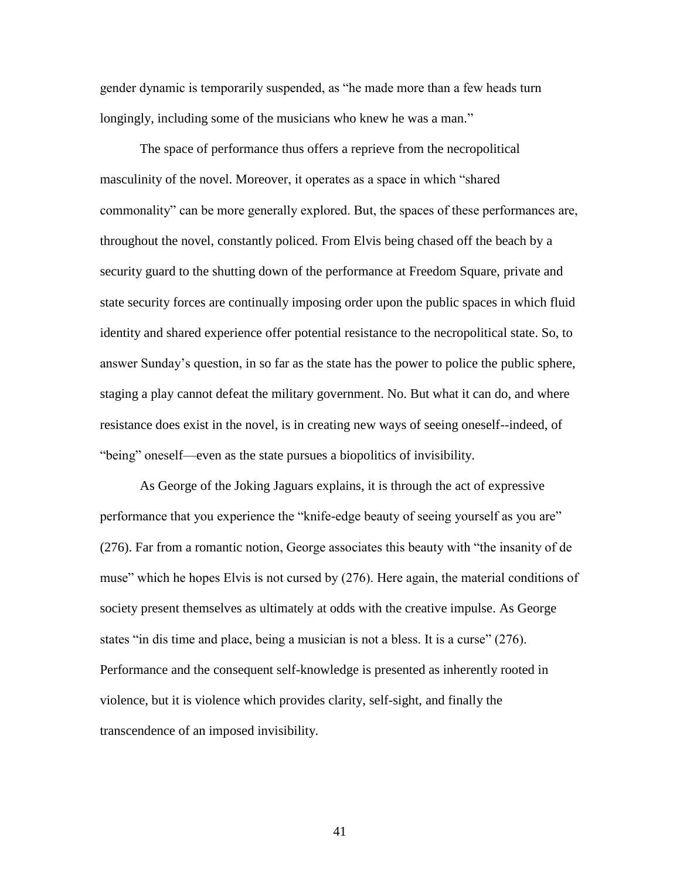gender dynamic is temporarily suspended, as "he made more than a few heads turn longingly, including some of the musicians who knew he was a man."

The space of performance thus offers a reprieve from the necropolitical masculinity of the novel. Moreover, it operates as a space in which "shared commonality" can be more generally explored. But, the spaces of these performances are, throughout the novel, constantly policed. From Elvis being chased off the beach by a security guard to the shutting down of the performance at Freedom Square, private and state security forces are continually imposing order upon the public spaces in which fluid identity and shared experience offer potential resistance to the necropolitical state. So, to answer Sunday's question, in so far as the state has the power to police the public sphere, staging a play cannot defeat the military government. No. But what it can do, and where resistance does exist in the novel, is in creating new ways of seeing oneself--indeed, of "being" oneself—even as the state pursues a biopolitics of invisibility.

As George of the Joking Jaguars explains, it is through the act of expressive performance that you experience the "knife-edge beauty of seeing yourself as you are" (276). Far from a romantic notion, George associates this beauty with "the insanity of de muse" which he hopes Elvis is not cursed by (276). Here again, the material conditions of society present themselves as ultimately at odds with the creative impulse. As George states "in dis time and place, being a musician is not a bless. It is a curse" (276). Performance and the consequent self-knowledge is presented as inherently rooted in violence, but it is violence which provides clarity, self-sight, and finally the transcendence of an imposed invisibility.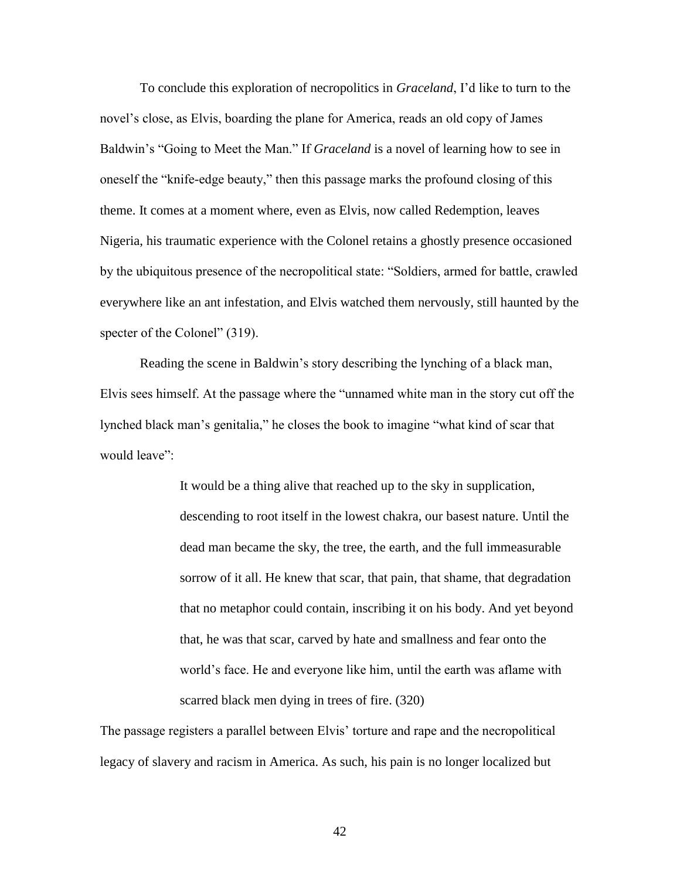To conclude this exploration of necropolitics in *Graceland*, I'd like to turn to the novel's close, as Elvis, boarding the plane for America, reads an old copy of James Baldwin's "Going to Meet the Man." If *Graceland* is a novel of learning how to see in oneself the "knife-edge beauty," then this passage marks the profound closing of this theme. It comes at a moment where, even as Elvis, now called Redemption, leaves Nigeria, his traumatic experience with the Colonel retains a ghostly presence occasioned by the ubiquitous presence of the necropolitical state: "Soldiers, armed for battle, crawled everywhere like an ant infestation, and Elvis watched them nervously, still haunted by the specter of the Colonel" (319).

Reading the scene in Baldwin's story describing the lynching of a black man, Elvis sees himself. At the passage where the "unnamed white man in the story cut off the lynched black man's genitalia," he closes the book to imagine "what kind of scar that would leave":

> It would be a thing alive that reached up to the sky in supplication, descending to root itself in the lowest chakra, our basest nature. Until the dead man became the sky, the tree, the earth, and the full immeasurable sorrow of it all. He knew that scar, that pain, that shame, that degradation that no metaphor could contain, inscribing it on his body. And yet beyond that, he was that scar, carved by hate and smallness and fear onto the world's face. He and everyone like him, until the earth was aflame with scarred black men dying in trees of fire. (320)

The passage registers a parallel between Elvis' torture and rape and the necropolitical legacy of slavery and racism in America. As such, his pain is no longer localized but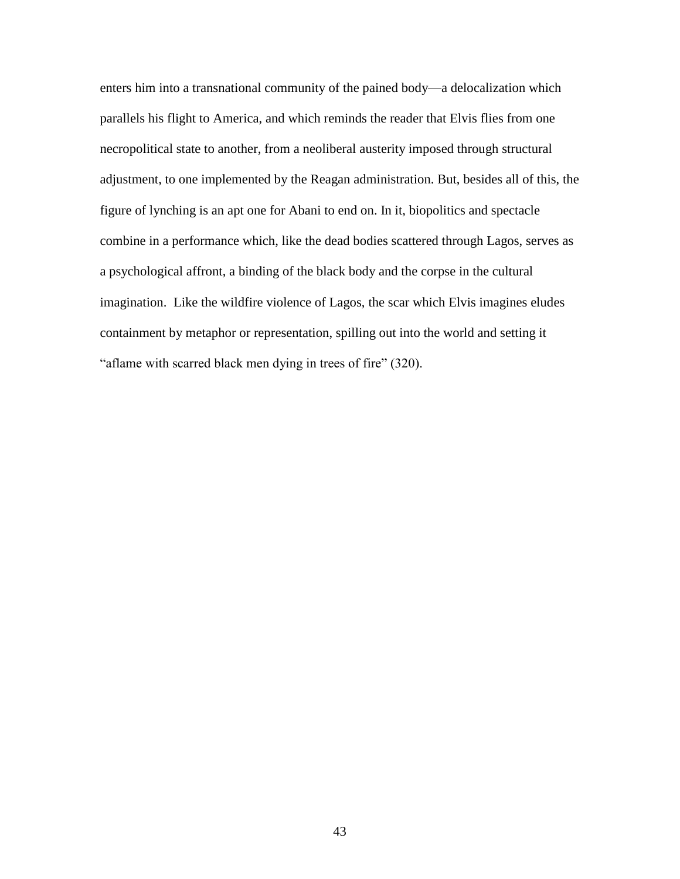enters him into a transnational community of the pained body—a delocalization which parallels his flight to America, and which reminds the reader that Elvis flies from one necropolitical state to another, from a neoliberal austerity imposed through structural adjustment, to one implemented by the Reagan administration. But, besides all of this, the figure of lynching is an apt one for Abani to end on. In it, biopolitics and spectacle combine in a performance which, like the dead bodies scattered through Lagos, serves as a psychological affront, a binding of the black body and the corpse in the cultural imagination. Like the wildfire violence of Lagos, the scar which Elvis imagines eludes containment by metaphor or representation, spilling out into the world and setting it "aflame with scarred black men dying in trees of fire" (320).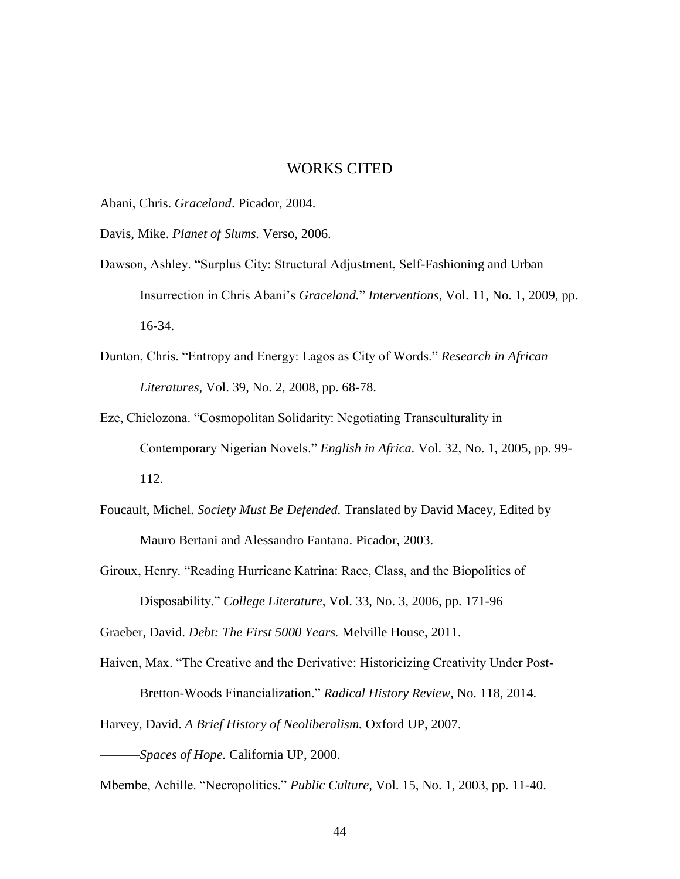### WORKS CITED

Abani, Chris. *Graceland*. Picador, 2004.

Davis, Mike. *Planet of Slums.* Verso, 2006.

- Dawson, Ashley. "Surplus City: Structural Adjustment, Self-Fashioning and Urban Insurrection in Chris Abani's *Graceland.*" *Interventions*, Vol. 11, No. 1, 2009, pp. 16-34.
- Dunton, Chris. "Entropy and Energy: Lagos as City of Words." *Research in African Literatures,* Vol. 39, No. 2, 2008, pp. 68-78.
- Eze, Chielozona. "Cosmopolitan Solidarity: Negotiating Transculturality in Contemporary Nigerian Novels." *English in Africa.* Vol. 32, No. 1, 2005, pp. 99- 112.
- Foucault, Michel. *Society Must Be Defended.* Translated by David Macey, Edited by Mauro Bertani and Alessandro Fantana. Picador, 2003.

Giroux, Henry. "Reading Hurricane Katrina: Race, Class, and the Biopolitics of Disposability." *College Literature*, Vol. 33, No. 3, 2006, pp. 171-96

Graeber, David. *Debt: The First 5000 Years.* Melville House, 2011.

Haiven, Max. "The Creative and the Derivative: Historicizing Creativity Under Post-Bretton-Woods Financialization." *Radical History Review,* No. 118, 2014.

Harvey, David. *A Brief History of Neoliberalism.* Oxford UP, 2007.

———*Spaces of Hope.* California UP, 2000.

Mbembe, Achille. "Necropolitics." *Public Culture,* Vol. 15, No. 1, 2003, pp. 11-40.